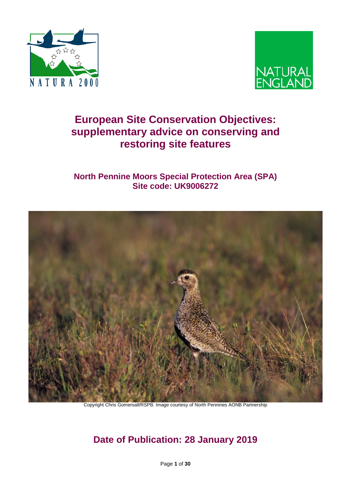



# **European Site Conservation Objectives: supplementary advice on conserving and restoring site features**

## **North Pennine Moors Special Protection Area (SPA) Site code: UK9006272**



Copyright Chris Gomersall/RSPB. Image courtesy of North Pennines AONB Partnership

# **Date of Publication: 28 January 2019**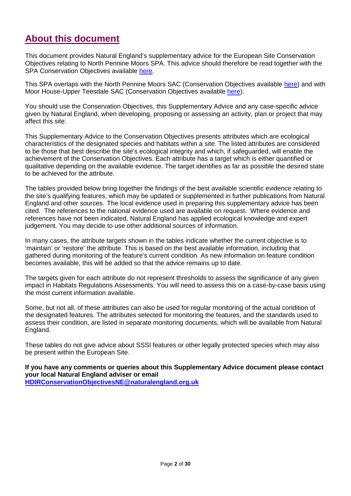## **About this document**

This document provides Natural England's supplementary advice for the European Site Conservation Objectives relating to North Pennine Moors SPA. This advice should therefore be read together with the SPA Conservation Objectives available [here.](http://publications.naturalengland.org.uk/publication/6079716435951616?category=4698884316069888)

This SPA overlaps with the North Pennine Moors SAC (Conservation Objectives available [here\)](http://publications.naturalengland.org.uk/publication/6361191412662272?category=4698884316069888) and with Moor House-Upper Teesdale SAC (Conservation Objectives available [here\)](http://publications.naturalengland.org.uk/publication/5889740972752896?category=4698884316069888).

You should use the Conservation Objectives, this Supplementary Advice and any case-specific advice given by Natural England, when developing, proposing or assessing an activity, plan or project that may affect this site.

This Supplementary Advice to the Conservation Objectives presents attributes which are ecological characteristics of the designated species and habitats within a site. The listed attributes are considered to be those that best describe the site's ecological integrity and which, if safeguarded, will enable the achievement of the Conservation Objectives. Each attribute has a target which is either quantified or qualitative depending on the available evidence. The target identifies as far as possible the desired state to be achieved for the attribute.

The tables provided below bring together the findings of the best available scientific evidence relating to the site's qualifying features, which may be updated or supplemented in further publications from Natural England and other sources. The local evidence used in preparing this supplementary advice has been cited. The references to the national evidence used are available on request. Where evidence and references have not been indicated, Natural England has applied ecological knowledge and expert judgement. You may decide to use other additional sources of information.

In many cases, the attribute targets shown in the tables indicate whether the current objective is to 'maintain' or 'restore' the attribute. This is based on the best available information, including that gathered during monitoring of the feature's current condition. As new information on feature condition becomes available, this will be added so that the advice remains up to date.

The targets given for each attribute do not represent thresholds to assess the significance of any given impact in Habitats Regulations Assessments. You will need to assess this on a case-by-case basis using the most current information available.

Some, but not all, of these attributes can also be used for regular monitoring of the actual condition of the designated features. The attributes selected for monitoring the features, and the standards used to assess their condition, are listed in separate monitoring documents, which will be available from Natural England.

These tables do not give advice about SSSI features or other legally protected species which may also be present within the European Site.

**If you have any comments or queries about this Supplementary Advice document please contact your local Natural England adviser or email [HDIRConservationObjectivesNE@naturalengland.org.uk](mailto:HDIRConservationObjectivesNE@naturalengland.org.uk)**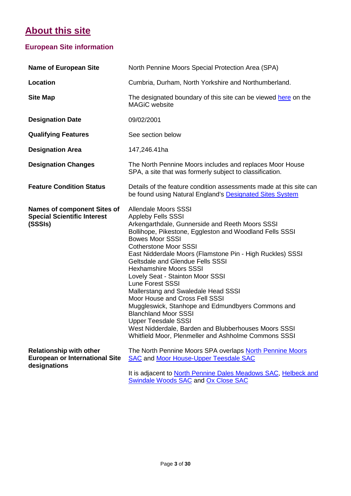# **About this site**

## **European Site information**

| <b>Name of European Site</b>                                                            | North Pennine Moors Special Protection Area (SPA)                                                                                                                                                                                                                                                                                                                                                                                                                                                                                                                                                                                                                                                                                                   |
|-----------------------------------------------------------------------------------------|-----------------------------------------------------------------------------------------------------------------------------------------------------------------------------------------------------------------------------------------------------------------------------------------------------------------------------------------------------------------------------------------------------------------------------------------------------------------------------------------------------------------------------------------------------------------------------------------------------------------------------------------------------------------------------------------------------------------------------------------------------|
| <b>Location</b>                                                                         | Cumbria, Durham, North Yorkshire and Northumberland.                                                                                                                                                                                                                                                                                                                                                                                                                                                                                                                                                                                                                                                                                                |
| <b>Site Map</b>                                                                         | The designated boundary of this site can be viewed here on the<br><b>MAGiC</b> website                                                                                                                                                                                                                                                                                                                                                                                                                                                                                                                                                                                                                                                              |
| <b>Designation Date</b>                                                                 | 09/02/2001                                                                                                                                                                                                                                                                                                                                                                                                                                                                                                                                                                                                                                                                                                                                          |
| <b>Qualifying Features</b>                                                              | See section below                                                                                                                                                                                                                                                                                                                                                                                                                                                                                                                                                                                                                                                                                                                                   |
| <b>Designation Area</b>                                                                 | 147,246.41ha                                                                                                                                                                                                                                                                                                                                                                                                                                                                                                                                                                                                                                                                                                                                        |
| <b>Designation Changes</b>                                                              | The North Pennine Moors includes and replaces Moor House<br>SPA, a site that was formerly subject to classification.                                                                                                                                                                                                                                                                                                                                                                                                                                                                                                                                                                                                                                |
| <b>Feature Condition Status</b>                                                         | Details of the feature condition assessments made at this site can<br>be found using Natural England's Designated Sites System                                                                                                                                                                                                                                                                                                                                                                                                                                                                                                                                                                                                                      |
| <b>Names of component Sites of</b><br><b>Special Scientific Interest</b><br>(SSSIs)     | <b>Allendale Moors SSSI</b><br><b>Appleby Fells SSSI</b><br>Arkengarthdale, Gunnerside and Reeth Moors SSSI<br>Bollihope, Pikestone, Eggleston and Woodland Fells SSSI<br><b>Bowes Moor SSSI</b><br><b>Cotherstone Moor SSSI</b><br>East Nidderdale Moors (Flamstone Pin - High Ruckles) SSSI<br><b>Geltsdale and Glendue Fells SSSI</b><br><b>Hexhamshire Moors SSSI</b><br>Lovely Seat - Stainton Moor SSSI<br><b>Lune Forest SSSI</b><br>Mallerstang and Swaledale Head SSSI<br>Moor House and Cross Fell SSSI<br>Muggleswick, Stanhope and Edmundbyers Commons and<br><b>Blanchland Moor SSSI</b><br><b>Upper Teesdale SSSI</b><br>West Nidderdale, Barden and Blubberhouses Moors SSSI<br>Whitfield Moor, Plenmeller and Ashholme Commons SSSI |
| <b>Relationship with other</b><br><b>European or International Site</b><br>designations | The North Pennine Moors SPA overlaps North Pennine Moors<br><b>SAC and Moor House-Upper Teesdale SAC</b><br>It is adjacent to North Pennine Dales Meadows SAC, Helbeck and                                                                                                                                                                                                                                                                                                                                                                                                                                                                                                                                                                          |
|                                                                                         |                                                                                                                                                                                                                                                                                                                                                                                                                                                                                                                                                                                                                                                                                                                                                     |

[Swindale Woods SAC](http://jncc.defra.gov.uk/protectedsites/sacselection/sac.asp?EUCode=UK0030167) and [Ox Close SAC](http://jncc.defra.gov.uk/protectedsites/sacselection/sac.asp?EUCode=UK0030234)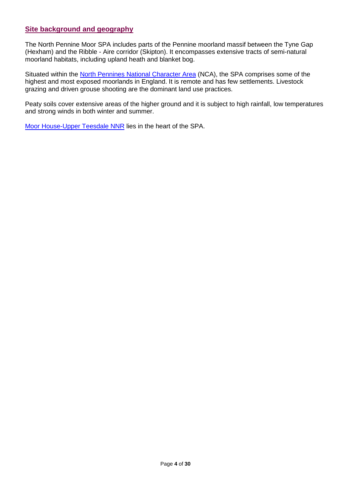### **Site background and geography**

The North Pennine Moor SPA includes parts of the Pennine moorland massif between the Tyne Gap (Hexham) and the Ribble - Aire corridor (Skipton). It encompasses extensive tracts of semi-natural moorland habitats, including upland heath and blanket bog.

Situated within the [North Pennines National Character Area](http://publications.naturalengland.org.uk/publication/5682293) (NCA), the SPA comprises some of the highest and most exposed moorlands in England. It is remote and has few settlements. Livestock grazing and driven grouse shooting are the dominant land use practices.

Peaty soils cover extensive areas of the higher ground and it is subject to high rainfall, low temperatures and strong winds in both winter and summer.

[Moor House-Upper Teesdale NNR](https://www.gov.uk/government/publications/durhams-national-nature-reserves/durhams-national-nature-reserves) lies in the heart of the SPA.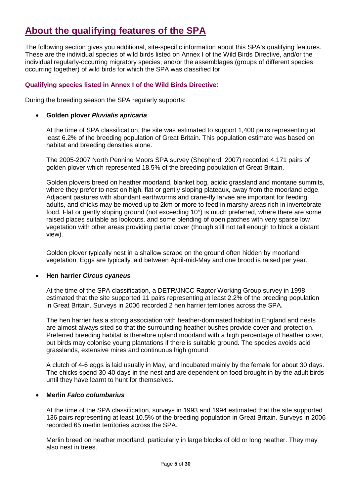# **About the qualifying features of the SPA**

The following section gives you additional, site-specific information about this SPA's qualifying features. These are the individual species of wild birds listed on Annex I of the Wild Birds Directive, and/or the individual regularly-occurring migratory species, and/or the assemblages (groups of different species occurring together) of wild birds for which the SPA was classified for.

### **Qualifying species listed in Annex I of the Wild Birds Directive:**

During the breeding season the SPA regularly supports:

### • **Golden plover** *Pluvialis apricaria*

At the time of SPA classification, the site was estimated to support 1,400 pairs representing at least 6.2% of the breeding population of Great Britain. This population estimate was based on habitat and breeding densities alone.

The 2005-2007 North Pennine Moors SPA survey (Shepherd, 2007) recorded 4,171 pairs of golden plover which represented 18.5% of the breeding population of Great Britain.

Golden plovers breed on heather moorland, blanket bog, acidic grassland and montane summits, where they prefer to nest on high, flat or gently sloping plateaux, away from the moorland edge. Adjacent pastures with abundant earthworms and crane-fly larvae are important for feeding adults, and chicks may be moved up to 2km or more to feed in marshy areas rich in invertebrate food*.* Flat or gently sloping ground (not exceeding 10°) is much preferred, where there are some raised places suitable as lookouts, and some blending of open patches with very sparse low vegetation with other areas providing partial cover (though still not tall enough to block a distant view).

Golden plover typically nest in a shallow scrape on the ground often hidden by moorland vegetation. Eggs are typically laid between April-mid-May and one brood is raised per year.

### • **Hen harrier** *Circus cyaneus*

At the time of the SPA classification, a DETR/JNCC Raptor Working Group survey in 1998 estimated that the site supported 11 pairs representing at least 2.2% of the breeding population in Great Britain. Surveys in 2006 recorded 2 hen harrier territories across the SPA.

The hen harrier has a strong association with heather-dominated habitat in England and nests are almost always sited so that the surrounding heather bushes provide cover and protection. Preferred breeding habitat is therefore upland moorland with a high percentage of heather cover, but birds may colonise young plantations if there is suitable ground. The species avoids acid grasslands, extensive mires and continuous high ground.

A clutch of 4-6 eggs is laid usually in May, and incubated mainly by the female for about 30 days. The chicks spend 30-40 days in the nest and are dependent on food brought in by the adult birds until they have learnt to hunt for themselves.

### • **Merlin** *Falco columbarius*

At the time of the SPA classification, surveys in 1993 and 1994 estimated that the site supported 136 pairs representing at least 10.5% of the breeding population in Great Britain. Surveys in 2006 recorded 65 merlin territories across the SPA.

Merlin breed on heather moorland, particularly in large blocks of old or long heather. They may also nest in trees.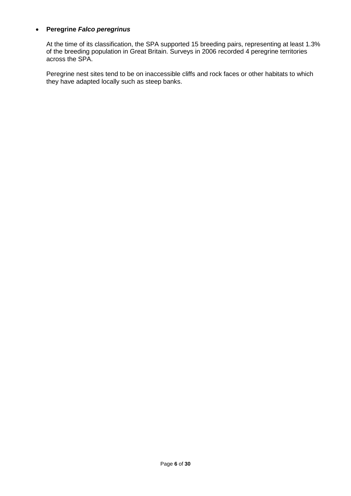### • **Peregrine** *Falco peregrinus*

At the time of its classification, the SPA supported 15 breeding pairs, representing at least 1.3% of the breeding population in Great Britain. Surveys in 2006 recorded 4 peregrine territories across the SPA.

Peregrine nest sites tend to be on inaccessible cliffs and rock faces or other habitats to which they have adapted locally such as steep banks.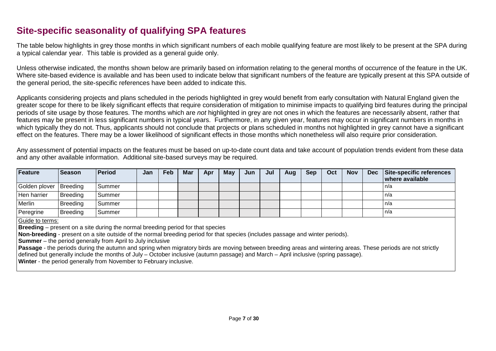## **Site-specific seasonality of qualifying SPA features**

The table below highlights in grey those months in which significant numbers of each mobile qualifying feature are most likely to be present at the SPA during a typical calendar year. This table is provided as a general guide only.

Unless otherwise indicated, the months shown below are primarily based on information relating to the general months of occurrence of the feature in the UK. Where site-based evidence is available and has been used to indicate below that significant numbers of the feature are typically present at this SPA outside of the general period, the site-specific references have been added to indicate this.

Applicants considering projects and plans scheduled in the periods highlighted in grey would benefit from early consultation with Natural England given the greater scope for there to be likely significant effects that require consideration of mitigation to minimise impacts to qualifying bird features during the principal periods of site usage by those features. The months which are *not* highlighted in grey are not ones in which the features are necessarily absent, rather that features may be present in less significant numbers in typical years. Furthermore, in any given year, features may occur in significant numbers in months in which typically they do not. Thus, applicants should not conclude that projects or plans scheduled in months not highlighted in grey cannot have a significant effect on the features. There may be a lower likelihood of significant effects in those months which nonetheless will also require prior consideration.

Any assessment of potential impacts on the features must be based on up-to-date count data and take account of population trends evident from these data and any other available information. Additional site-based surveys may be required.

| <b>Feature</b>           | <b>Season</b> | <b>Period</b> | Jan | Feb | <b>Mar</b> | Apr | <b>May</b> | Jun | Jul | Aug | <b>Sep</b> | Oct | <b>Nov</b> | <b>Dec</b> | Site-specific references<br>where available |
|--------------------------|---------------|---------------|-----|-----|------------|-----|------------|-----|-----|-----|------------|-----|------------|------------|---------------------------------------------|
| Golden plover   Breeding |               | Summer        |     |     |            |     |            |     |     |     |            |     |            |            | In/a                                        |
| Hen harrier              | Breeding      | Summer        |     |     |            |     |            |     |     |     |            |     |            |            | l n/a                                       |
| Merlin                   | Breeding      | Summer        |     |     |            |     |            |     |     |     |            |     |            |            | n/a                                         |
| Peregrine                | Breeding      | Summer        |     |     |            |     |            |     |     |     |            |     |            |            | In/a                                        |

Guide to terms:

**Breeding** – present on a site during the normal breeding period for that species

**Non-breeding** - present on a site outside of the normal breeding period for that species (includes passage and winter periods).

**Summer** – the period generally from April to July inclusive

**Passage** - the periods during the autumn and spring when migratory birds are moving between breeding areas and wintering areas. These periods are not strictly defined but generally include the months of July – October inclusive (autumn passage) and March – April inclusive (spring passage).

**Winter** - the period generally from November to February inclusive.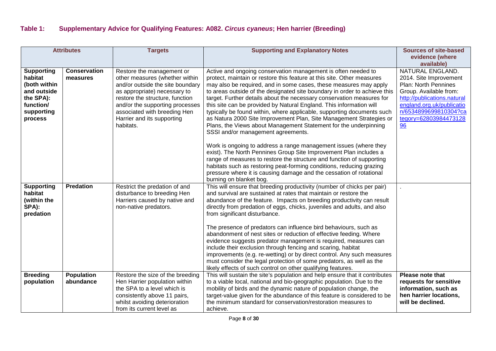| <b>Attributes</b>                                                                                   |                                 | <b>Targets</b>                                                                                                                                                                                                                        | <b>Supporting and Explanatory Notes</b>                                                                                                                                                                                                                                                                                                                                                                                                                                                                                                                                                                                                                                                                                                                                                                                         | <b>Sources of site-based</b>                                                                                                                                                      |
|-----------------------------------------------------------------------------------------------------|---------------------------------|---------------------------------------------------------------------------------------------------------------------------------------------------------------------------------------------------------------------------------------|---------------------------------------------------------------------------------------------------------------------------------------------------------------------------------------------------------------------------------------------------------------------------------------------------------------------------------------------------------------------------------------------------------------------------------------------------------------------------------------------------------------------------------------------------------------------------------------------------------------------------------------------------------------------------------------------------------------------------------------------------------------------------------------------------------------------------------|-----------------------------------------------------------------------------------------------------------------------------------------------------------------------------------|
|                                                                                                     |                                 |                                                                                                                                                                                                                                       |                                                                                                                                                                                                                                                                                                                                                                                                                                                                                                                                                                                                                                                                                                                                                                                                                                 | evidence (where                                                                                                                                                                   |
|                                                                                                     |                                 |                                                                                                                                                                                                                                       |                                                                                                                                                                                                                                                                                                                                                                                                                                                                                                                                                                                                                                                                                                                                                                                                                                 | available)                                                                                                                                                                        |
| <b>Supporting</b><br>habitat<br>(both within<br>and outside<br>the SPA):<br>function/<br>supporting | <b>Conservation</b><br>measures | Restore the management or<br>other measures (whether within<br>and/or outside the site boundary<br>as appropriate) necessary to<br>restore the structure, function<br>and/or the supporting processes<br>associated with breeding Hen | Active and ongoing conservation management is often needed to<br>protect, maintain or restore this feature at this site. Other measures<br>may also be required, and in some cases, these measures may apply<br>to areas outside of the designated site boundary in order to achieve this<br>target. Further details about the necessary conservation measures for<br>this site can be provided by Natural England. This information will<br>typically be found within, where applicable, supporting documents such                                                                                                                                                                                                                                                                                                             | NATURAL ENGLAND.<br>2014. Site Improvement<br>Plan: North Pennines<br>Group. Available from:<br>http://publications.natural<br>england.org.uk/publicatio<br>n/6534899699810304?ca |
| process                                                                                             |                                 | Harrier and its supporting<br>habitats.                                                                                                                                                                                               | as Natura 2000 Site Improvement Plan, Site Management Strategies or<br>Plans, the Views about Management Statement for the underpinning<br>SSSI and/or management agreements.<br>Work is ongoing to address a range management issues (where they<br>exist). The North Pennines Group Site Improvement Plan includes a<br>range of measures to restore the structure and function of supporting<br>habitats such as restoring peat-forming conditions, reducing grazing<br>pressure where it is causing damage and the cessation of rotational<br>burning on blanket bog.                                                                                                                                                                                                                                                       | tegory=62803984473128<br>96                                                                                                                                                       |
| <b>Supporting</b><br>habitat<br>(within the<br>SPA):<br>predation                                   | <b>Predation</b>                | Restrict the predation of and<br>disturbance to breeding Hen<br>Harriers caused by native and<br>non-native predators.                                                                                                                | This will ensure that breeding productivity (number of chicks per pair)<br>and survival are sustained at rates that maintain or restore the<br>abundance of the feature. Impacts on breeding productivity can result<br>directly from predation of eggs, chicks, juveniles and adults, and also<br>from significant disturbance.<br>The presence of predators can influence bird behaviours, such as<br>abandonment of nest sites or reduction of effective feeding. Where<br>evidence suggests predator management is required, measures can<br>include their exclusion through fencing and scaring, habitat<br>improvements (e.g. re-wetting) or by direct control. Any such measures<br>must consider the legal protection of some predators, as well as the<br>likely effects of such control on other qualifying features. |                                                                                                                                                                                   |
| <b>Breeding</b><br>population                                                                       | <b>Population</b><br>abundance  | Restore the size of the breeding<br>Hen Harrier population within<br>the SPA to a level which is<br>consistently above 11 pairs,<br>whilst avoiding deterioration<br>from its current level as                                        | This will sustain the site's population and help ensure that it contributes<br>to a viable local, national and bio-geographic population. Due to the<br>mobility of birds and the dynamic nature of population change, the<br>target-value given for the abundance of this feature is considered to be<br>the minimum standard for conservation/restoration measures to<br>achieve.                                                                                                                                                                                                                                                                                                                                                                                                                                             | Please note that<br>requests for sensitive<br>information, such as<br>hen harrier locations,<br>will be declined.                                                                 |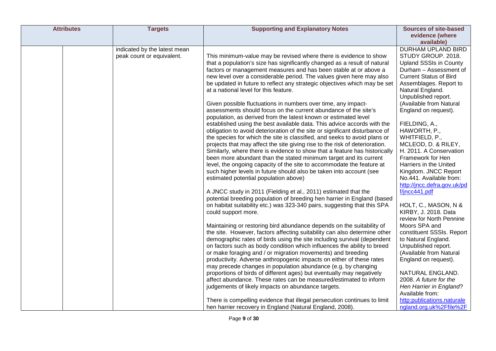| <b>Attributes</b> | <b>Targets</b>               | <b>Supporting and Explanatory Notes</b>                                     | <b>Sources of site-based</b>                    |
|-------------------|------------------------------|-----------------------------------------------------------------------------|-------------------------------------------------|
|                   |                              |                                                                             | evidence (where                                 |
|                   |                              |                                                                             | available)                                      |
|                   | indicated by the latest mean |                                                                             | <b>DURHAM UPLAND BIRD</b>                       |
|                   | peak count or equivalent.    | This minimum-value may be revised where there is evidence to show           | STUDY GROUP. 2018.                              |
|                   |                              | that a population's size has significantly changed as a result of natural   | <b>Upland SSSIs in County</b>                   |
|                   |                              | factors or management measures and has been stable at or above a            | Durham - Assessment of                          |
|                   |                              | new level over a considerable period. The values given here may also        | <b>Current Status of Bird</b>                   |
|                   |                              | be updated in future to reflect any strategic objectives which may be set   | Assemblages. Report to                          |
|                   |                              | at a national level for this feature.                                       | Natural England.                                |
|                   |                              |                                                                             | Unpublished report.                             |
|                   |                              | Given possible fluctuations in numbers over time, any impact-               | (Available from Natural                         |
|                   |                              | assessments should focus on the current abundance of the site's             | England on request).                            |
|                   |                              | population, as derived from the latest known or estimated level             |                                                 |
|                   |                              | established using the best available data. This advice accords with the     | FIELDING, A.,                                   |
|                   |                              | obligation to avoid deterioration of the site or significant disturbance of | HAWORTH, P.,                                    |
|                   |                              | the species for which the site is classified, and seeks to avoid plans or   | WHITFIELD, P.,                                  |
|                   |                              | projects that may affect the site giving rise to the risk of deterioration. | MCLEOD, D. & RILEY,                             |
|                   |                              | Similarly, where there is evidence to show that a feature has historically  | H. 2011. A Conservation                         |
|                   |                              | been more abundant than the stated minimum target and its current           | Framework for Hen                               |
|                   |                              | level, the ongoing capacity of the site to accommodate the feature at       | Harriers in the United                          |
|                   |                              | such higher levels in future should also be taken into account (see         | Kingdom. JNCC Report<br>No.441. Available from: |
|                   |                              | estimated potential population above)                                       | http://jncc.defra.gov.uk/pd                     |
|                   |                              | A JNCC study in 2011 (Fielding et al., 2011) estimated that the             | f/jncc441.pdf                                   |
|                   |                              | potential breeding population of breeding hen harrier in England (based     |                                                 |
|                   |                              | on habitat suitability etc.) was 323-340 pairs, suggesting that this SPA    | HOLT, C., MASON, N &                            |
|                   |                              | could support more.                                                         | KIRBY, J. 2018. Data                            |
|                   |                              |                                                                             | review for North Pennine                        |
|                   |                              | Maintaining or restoring bird abundance depends on the suitability of       | Moors SPA and                                   |
|                   |                              | the site. However, factors affecting suitability can also determine other   | constituent SSSIs. Report                       |
|                   |                              | demographic rates of birds using the site including survival (dependent     | to Natural England.                             |
|                   |                              | on factors such as body condition which influences the ability to breed     | Unpublished report.                             |
|                   |                              | or make foraging and / or migration movements) and breeding                 | (Available from Natural                         |
|                   |                              | productivity. Adverse anthropogenic impacts on either of these rates        | England on request).                            |
|                   |                              | may precede changes in population abundance (e.g. by changing               |                                                 |
|                   |                              | proportions of birds of different ages) but eventually may negatively       | NATURAL ENGLAND.                                |
|                   |                              | affect abundance. These rates can be measured/estimated to inform           | 2008. A future for the                          |
|                   |                              | judgements of likely impacts on abundance targets.                          | Hen Harrier in England?                         |
|                   |                              |                                                                             | Available from:                                 |
|                   |                              | There is compelling evidence that illegal persecution continues to limit    | http:publications.naturale                      |
|                   |                              | hen harrier recovery in England (Natural England, 2008).                    | ngland.org.uk%2Ffile%2F                         |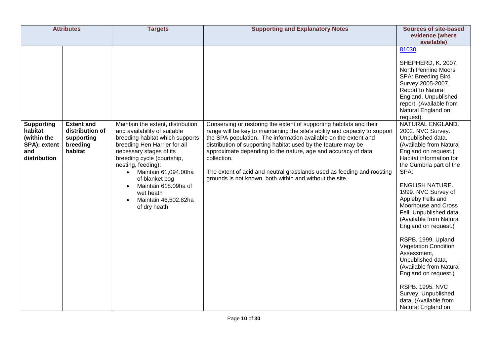| <b>Attributes</b>                                             |                                                      | <b>Targets</b>                                                                                                                                                                                                                                                                                                     | <b>Supporting and Explanatory Notes</b>                                                                                                                                                                                                                                                                                                                                                                                              | <b>Sources of site-based</b>                                                                                                                                                                                                                                                                                                                                                                                                                                                                                                                                                   |
|---------------------------------------------------------------|------------------------------------------------------|--------------------------------------------------------------------------------------------------------------------------------------------------------------------------------------------------------------------------------------------------------------------------------------------------------------------|--------------------------------------------------------------------------------------------------------------------------------------------------------------------------------------------------------------------------------------------------------------------------------------------------------------------------------------------------------------------------------------------------------------------------------------|--------------------------------------------------------------------------------------------------------------------------------------------------------------------------------------------------------------------------------------------------------------------------------------------------------------------------------------------------------------------------------------------------------------------------------------------------------------------------------------------------------------------------------------------------------------------------------|
|                                                               |                                                      |                                                                                                                                                                                                                                                                                                                    |                                                                                                                                                                                                                                                                                                                                                                                                                                      | evidence (where<br>available)                                                                                                                                                                                                                                                                                                                                                                                                                                                                                                                                                  |
| <b>Supporting</b>                                             | <b>Extent and</b>                                    | Maintain the extent, distribution                                                                                                                                                                                                                                                                                  | Conserving or restoring the extent of supporting habitats and their                                                                                                                                                                                                                                                                                                                                                                  | 81030<br>SHEPHERD, K. 2007.<br><b>North Pennine Moors</b><br>SPA: Breeding Bird<br>Survey 2005-2007.<br><b>Report to Natural</b><br>England. Unpublished<br>report. (Available from<br>Natural England on<br>request).<br>NATURAL ENGLAND.                                                                                                                                                                                                                                                                                                                                     |
| habitat<br>(within the<br>SPA): extent<br>and<br>distribution | distribution of<br>supporting<br>breeding<br>habitat | and availability of suitable<br>breeding habitat which supports<br>breeding Hen Harrier for all<br>necessary stages of its<br>breeding cycle (courtship,<br>nesting, feeding):<br>Maintain 61,094.00ha<br>$\bullet$<br>of blanket bog<br>Maintain 618.09ha of<br>wet heath<br>Maintain 46,502.82ha<br>of dry heath | range will be key to maintaining the site's ability and capacity to support<br>the SPA population. The information available on the extent and<br>distribution of supporting habitat used by the feature may be<br>approximate depending to the nature, age and accuracy of data<br>collection.<br>The extent of acid and neutral grasslands used as feeding and roosting<br>grounds is not known, both within and without the site. | 2002. NVC Survey.<br>Unpublished data.<br>(Available from Natural<br>England on request.)<br>Habitat information for<br>the Cumbria part of the<br>SPA:<br><b>ENGLISH NATURE.</b><br>1999. NVC Survey of<br>Appleby Fells and<br>Moorhouse and Cross<br>Fell. Unpublished data.<br>(Available from Natural<br>England on request.)<br>RSPB. 1999. Upland<br><b>Vegetation Condition</b><br>Assessment,<br>Unpublished data,<br>(Available from Natural<br>England on request.)<br><b>RSPB. 1995. NVC</b><br>Survey. Unpublished<br>data, (Available from<br>Natural England on |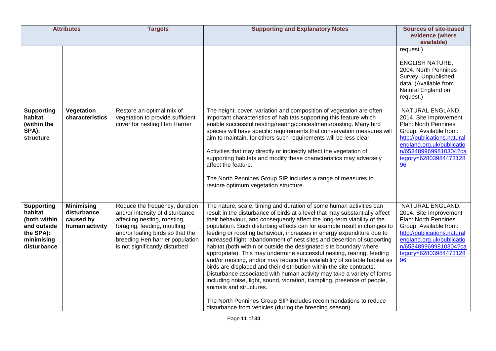| <b>Attributes</b>                                                                                     |                                                                 | <b>Targets</b>                                                                                                                                                                                                                            | <b>Supporting and Explanatory Notes</b>                                                                                                                                                                                                                                                                                                                                                                                                                                                                                                                                                                                                                                                                                                                                                                                                                                                                                                                                                                                                                                            | <b>Sources of site-based</b><br>evidence (where<br>available)                                                                                                                                                    |
|-------------------------------------------------------------------------------------------------------|-----------------------------------------------------------------|-------------------------------------------------------------------------------------------------------------------------------------------------------------------------------------------------------------------------------------------|------------------------------------------------------------------------------------------------------------------------------------------------------------------------------------------------------------------------------------------------------------------------------------------------------------------------------------------------------------------------------------------------------------------------------------------------------------------------------------------------------------------------------------------------------------------------------------------------------------------------------------------------------------------------------------------------------------------------------------------------------------------------------------------------------------------------------------------------------------------------------------------------------------------------------------------------------------------------------------------------------------------------------------------------------------------------------------|------------------------------------------------------------------------------------------------------------------------------------------------------------------------------------------------------------------|
|                                                                                                       |                                                                 |                                                                                                                                                                                                                                           |                                                                                                                                                                                                                                                                                                                                                                                                                                                                                                                                                                                                                                                                                                                                                                                                                                                                                                                                                                                                                                                                                    | request.)<br><b>ENGLISH NATURE.</b><br>2004. North Pennines<br>Survey. Unpublished<br>data. (Available from<br>Natural England on<br>request.)                                                                   |
| <b>Supporting</b><br>habitat<br>(within the<br>SPA):<br>structure                                     | Vegetation<br>characteristics                                   | Restore an optimal mix of<br>vegetation to provide sufficient<br>cover for nesting Hen Harrier                                                                                                                                            | The height, cover, variation and composition of vegetation are often<br>important characteristics of habitats supporting this feature which<br>enable successful nesting/rearing/concealment/roosting. Many bird<br>species will have specific requirements that conservation measures will<br>aim to maintain, for others such requirements will be less clear.<br>Activities that may directly or indirectly affect the vegetation of<br>supporting habitats and modify these characteristics may adversely<br>affect the feature.<br>The North Pennines Group SIP includes a range of measures to<br>restore optimum vegetation structure.                                                                                                                                                                                                                                                                                                                                                                                                                                      | NATURAL ENGLAND.<br>2014. Site Improvement<br>Plan: North Pennines<br>Group. Available from:<br>http://publications.natural<br>england.org.uk/publicatio<br>n/6534899699810304?ca<br>tegory=62803984473128<br>96 |
| <b>Supporting</b><br>habitat<br>(both within<br>and outside<br>the SPA):<br>minimising<br>disturbance | <b>Minimising</b><br>disturbance<br>caused by<br>human activity | Reduce the frequency, duration<br>and/or intensity of disturbance<br>affecting nesting, roosting,<br>foraging, feeding, moulting<br>and/or loafing birds so that the<br>breeding Hen harrier population<br>is not significantly disturbed | The nature, scale, timing and duration of some human activities can<br>result in the disturbance of birds at a level that may substantially affect<br>their behaviour, and consequently affect the long-term viability of the<br>population. Such disturbing effects can for example result in changes to<br>feeding or roosting behaviour, increases in energy expenditure due to<br>increased flight, abandonment of nest sites and desertion of supporting<br>habitat (both within or outside the designated site boundary where<br>appropriate). This may undermine successful nesting, rearing, feeding<br>and/or roosting, and/or may reduce the availability of suitable habitat as<br>birds are displaced and their distribution within the site contracts.<br>Disturbance associated with human activity may take a variety of forms<br>including noise, light, sound, vibration, trampling, presence of people,<br>animals and structures.<br>The North Pennines Group SIP includes recommendations to reduce<br>disturbance from vehicles (during the breeding season). | NATURAL ENGLAND.<br>2014. Site Improvement<br>Plan: North Pennines<br>Group. Available from:<br>http://publications.natural<br>england.org.uk/publicatio<br>n/6534899699810304?ca<br>tegory=62803984473128<br>96 |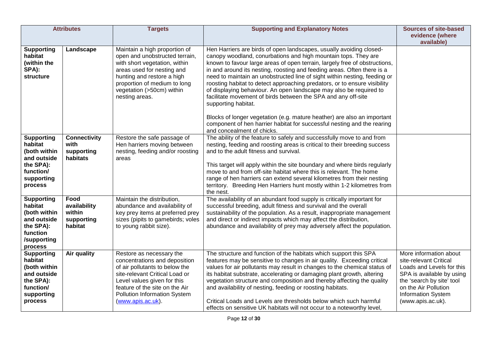| <b>Attributes</b>                                                                                              |                                                         | <b>Targets</b>                                                                                                                                                                                                                                      | <b>Supporting and Explanatory Notes</b>                                                                                                                                                                                                                                                                                                                                                                                                                                                                                                                                                                                                                                                                                                                                                                    | <b>Sources of site-based</b><br>evidence (where<br>available)                                                                                                                                                     |
|----------------------------------------------------------------------------------------------------------------|---------------------------------------------------------|-----------------------------------------------------------------------------------------------------------------------------------------------------------------------------------------------------------------------------------------------------|------------------------------------------------------------------------------------------------------------------------------------------------------------------------------------------------------------------------------------------------------------------------------------------------------------------------------------------------------------------------------------------------------------------------------------------------------------------------------------------------------------------------------------------------------------------------------------------------------------------------------------------------------------------------------------------------------------------------------------------------------------------------------------------------------------|-------------------------------------------------------------------------------------------------------------------------------------------------------------------------------------------------------------------|
| <b>Supporting</b><br>habitat<br>(within the<br>SPA):<br>structure                                              | Landscape                                               | Maintain a high proportion of<br>open and unobstructed terrain,<br>with short vegetation, within<br>areas used for nesting and<br>hunting and restore a high<br>proportion of medium to long<br>vegetation (>50cm) within<br>nesting areas.         | Hen Harriers are birds of open landscapes, usually avoiding closed-<br>canopy woodland, conurbations and high mountain tops. They are<br>known to favour large areas of open terrain, largely free of obstructions,<br>in and around its nesting, roosting and feeding areas. Often there is a<br>need to maintain an unobstructed line of sight within nesting, feeding or<br>roosting habitat to detect approaching predators, or to ensure visibility<br>of displaying behaviour. An open landscape may also be required to<br>facilitate movement of birds between the SPA and any off-site<br>supporting habitat.<br>Blocks of longer vegetation (e.g. mature heather) are also an important<br>component of hen harrier habitat for successful nesting and the rearing<br>and concealment of chicks. |                                                                                                                                                                                                                   |
| <b>Supporting</b><br>habitat<br>(both within<br>and outside<br>the SPA):<br>function/<br>supporting<br>process | <b>Connectivity</b><br>with<br>supporting<br>habitats   | Restore the safe passage of<br>Hen harriers moving between<br>nesting, feeding and/or roosting<br>areas                                                                                                                                             | The ability of the feature to safely and successfully move to and from<br>nesting, feeding and roosting areas is critical to their breeding success<br>and to the adult fitness and survival.<br>This target will apply within the site boundary and where birds regularly<br>move to and from off-site habitat where this is relevant. The home<br>range of hen harriers can extend several kilometres from their nesting<br>territory. Breeding Hen Harriers hunt mostly within 1-2 kilometres from<br>the nest.                                                                                                                                                                                                                                                                                         |                                                                                                                                                                                                                   |
| <b>Supporting</b><br>habitat<br>(both within<br>and outside<br>the SPA):<br>function<br>/supporting<br>process | Food<br>availability<br>within<br>supporting<br>habitat | Maintain the distribution,<br>abundance and availability of<br>key prey items at preferred prey<br>sizes (pipits to gamebirds; voles<br>to young rabbit size).                                                                                      | The availability of an abundant food supply is critically important for<br>successful breeding, adult fitness and survival and the overall<br>sustainability of the population. As a result, inappropriate management<br>and direct or indirect impacts which may affect the distribution,<br>abundance and availability of prey may adversely affect the population.                                                                                                                                                                                                                                                                                                                                                                                                                                      |                                                                                                                                                                                                                   |
| <b>Supporting</b><br>habitat<br>(both within<br>and outside<br>the SPA):<br>function/<br>supporting<br>process | Air quality                                             | Restore as necessary the<br>concentrations and deposition<br>of air pollutants to below the<br>site-relevant Critical Load or<br>Level values given for this<br>feature of the site on the Air<br>Pollution Information System<br>(www.apis.ac.uk). | The structure and function of the habitats which support this SPA<br>features may be sensitive to changes in air quality. Exceeding critical<br>values for air pollutants may result in changes to the chemical status of<br>its habitat substrate, accelerating or damaging plant growth, altering<br>vegetation structure and composition and thereby affecting the quality<br>and availability of nesting, feeding or roosting habitats.<br>Critical Loads and Levels are thresholds below which such harmful<br>effects on sensitive UK habitats will not occur to a noteworthy level,                                                                                                                                                                                                                 | More information about<br>site-relevant Critical<br>Loads and Levels for this<br>SPA is available by using<br>the 'search by site' tool<br>on the Air Pollution<br><b>Information System</b><br>(www.apis.ac.uk). |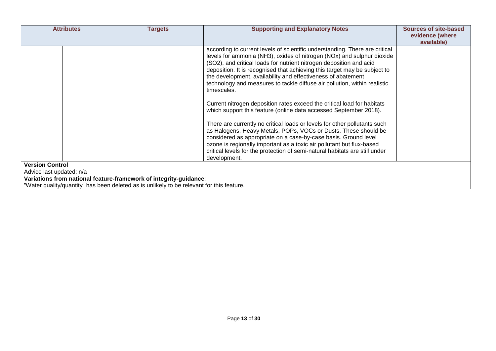| <b>Attributes</b>                                                                                                                                              | <b>Targets</b> | <b>Supporting and Explanatory Notes</b>                                                                                                                                                                                                                                                                                                                                                                                                                                                                                                                                                                                                                                                            | <b>Sources of site-based</b><br>evidence (where |  |  |  |
|----------------------------------------------------------------------------------------------------------------------------------------------------------------|----------------|----------------------------------------------------------------------------------------------------------------------------------------------------------------------------------------------------------------------------------------------------------------------------------------------------------------------------------------------------------------------------------------------------------------------------------------------------------------------------------------------------------------------------------------------------------------------------------------------------------------------------------------------------------------------------------------------------|-------------------------------------------------|--|--|--|
|                                                                                                                                                                |                | according to current levels of scientific understanding. There are critical<br>levels for ammonia (NH3), oxides of nitrogen (NOx) and sulphur dioxide<br>(SO2), and critical loads for nutrient nitrogen deposition and acid<br>deposition. It is recognised that achieving this target may be subject to<br>the development, availability and effectiveness of abatement<br>technology and measures to tackle diffuse air pollution, within realistic<br>timescales.<br>Current nitrogen deposition rates exceed the critical load for habitats<br>which support this feature (online data accessed September 2018).<br>There are currently no critical loads or levels for other pollutants such | available)                                      |  |  |  |
|                                                                                                                                                                |                | as Halogens, Heavy Metals, POPs, VOCs or Dusts. These should be<br>considered as appropriate on a case-by-case basis. Ground level<br>ozone is regionally important as a toxic air pollutant but flux-based<br>critical levels for the protection of semi-natural habitats are still under<br>development.                                                                                                                                                                                                                                                                                                                                                                                         |                                                 |  |  |  |
| <b>Version Control</b><br>Advice last updated: n/a                                                                                                             |                |                                                                                                                                                                                                                                                                                                                                                                                                                                                                                                                                                                                                                                                                                                    |                                                 |  |  |  |
| Variations from national feature-framework of integrity-guidance:<br>"Water quality/quantity" has been deleted as is unlikely to be relevant for this feature. |                |                                                                                                                                                                                                                                                                                                                                                                                                                                                                                                                                                                                                                                                                                                    |                                                 |  |  |  |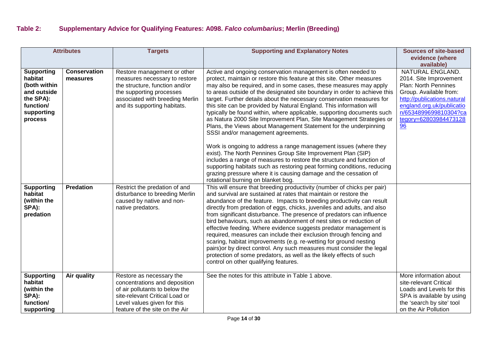| <b>Attributes</b>                                                                                              |                                 | <b>Targets</b>                                                                                                                                                                                 | <b>Supporting and Explanatory Notes</b>                                                                                                                                                                                                                                                                                                                                                                                                                                                                                                                                                                                                                                                                                                                                                                                                                  | <b>Sources of site-based</b>                                                                                                                                                                                     |
|----------------------------------------------------------------------------------------------------------------|---------------------------------|------------------------------------------------------------------------------------------------------------------------------------------------------------------------------------------------|----------------------------------------------------------------------------------------------------------------------------------------------------------------------------------------------------------------------------------------------------------------------------------------------------------------------------------------------------------------------------------------------------------------------------------------------------------------------------------------------------------------------------------------------------------------------------------------------------------------------------------------------------------------------------------------------------------------------------------------------------------------------------------------------------------------------------------------------------------|------------------------------------------------------------------------------------------------------------------------------------------------------------------------------------------------------------------|
|                                                                                                                |                                 |                                                                                                                                                                                                |                                                                                                                                                                                                                                                                                                                                                                                                                                                                                                                                                                                                                                                                                                                                                                                                                                                          | evidence (where<br>available)                                                                                                                                                                                    |
| <b>Supporting</b><br>habitat<br>(both within<br>and outside<br>the SPA):<br>function/<br>supporting<br>process | <b>Conservation</b><br>measures | Restore management or other<br>measures necessary to restore<br>the structure, function and/or<br>the supporting processes<br>associated with breeding Merlin<br>and its supporting habitats.  | Active and ongoing conservation management is often needed to<br>protect, maintain or restore this feature at this site. Other measures<br>may also be required, and in some cases, these measures may apply<br>to areas outside of the designated site boundary in order to achieve this<br>target. Further details about the necessary conservation measures for<br>this site can be provided by Natural England. This information will<br>typically be found within, where applicable, supporting documents such<br>as Natura 2000 Site Improvement Plan, Site Management Strategies or<br>Plans, the Views about Management Statement for the underpinning<br>SSSI and/or management agreements.                                                                                                                                                     | NATURAL ENGLAND.<br>2014. Site Improvement<br>Plan: North Pennines<br>Group. Available from:<br>http://publications.natural<br>england.org.uk/publicatio<br>n/6534899699810304?ca<br>tegory=62803984473128<br>96 |
|                                                                                                                |                                 |                                                                                                                                                                                                | Work is ongoing to address a range management issues (where they<br>exist). The North Pennines Group Site Improvement Plan (SIP)<br>includes a range of measures to restore the structure and function of<br>supporting habitats such as restoring peat forming conditions, reducing<br>grazing pressure where it is causing damage and the cessation of<br>rotational burning on blanket bog.                                                                                                                                                                                                                                                                                                                                                                                                                                                           |                                                                                                                                                                                                                  |
| <b>Supporting</b><br>habitat<br>(within the<br>SPA):<br>predation                                              | <b>Predation</b>                | Restrict the predation of and<br>disturbance to breeding Merlin<br>caused by native and non-<br>native predators.                                                                              | This will ensure that breeding productivity (number of chicks per pair)<br>and survival are sustained at rates that maintain or restore the<br>abundance of the feature. Impacts to breeding productivity can result<br>directly from predation of eggs, chicks, juveniles and adults, and also<br>from significant disturbance. The presence of predators can influence<br>bird behaviours, such as abandonment of nest sites or reduction of<br>effective feeding. Where evidence suggests predator management is<br>required, measures can include their exclusion through fencing and<br>scaring, habitat improvements (e.g. re-wetting for ground nesting<br>pairs) or by direct control. Any such measures must consider the legal<br>protection of some predators, as well as the likely effects of such<br>control on other qualifying features. |                                                                                                                                                                                                                  |
| <b>Supporting</b><br>habitat<br>(within the<br>SPA):<br>function/<br>supporting                                | Air quality                     | Restore as necessary the<br>concentrations and deposition<br>of air pollutants to below the<br>site-relevant Critical Load or<br>Level values given for this<br>feature of the site on the Air | See the notes for this attribute in Table 1 above.                                                                                                                                                                                                                                                                                                                                                                                                                                                                                                                                                                                                                                                                                                                                                                                                       | More information about<br>site-relevant Critical<br>Loads and Levels for this<br>SPA is available by using<br>the 'search by site' tool<br>on the Air Pollution                                                  |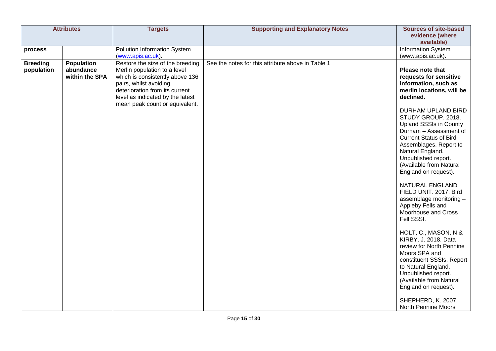|                 | <b>Attributes</b> | <b>Targets</b>                   | <b>Supporting and Explanatory Notes</b>           | <b>Sources of site-based</b>                            |
|-----------------|-------------------|----------------------------------|---------------------------------------------------|---------------------------------------------------------|
|                 |                   |                                  |                                                   | evidence (where                                         |
|                 |                   |                                  |                                                   | available)                                              |
| process         |                   | Pollution Information System     |                                                   | <b>Information System</b>                               |
|                 |                   | (www.apis.ac.uk).                |                                                   | (www.apis.ac.uk).                                       |
| <b>Breeding</b> | <b>Population</b> | Restore the size of the breeding | See the notes for this attribute above in Table 1 |                                                         |
| population      | abundance         | Merlin population to a level     |                                                   | Please note that                                        |
|                 | within the SPA    | which is consistently above 136  |                                                   | requests for sensitive                                  |
|                 |                   | pairs, whilst avoiding           |                                                   | information, such as                                    |
|                 |                   | deterioration from its current   |                                                   | merlin locations, will be                               |
|                 |                   | level as indicated by the latest |                                                   | declined.                                               |
|                 |                   | mean peak count or equivalent.   |                                                   |                                                         |
|                 |                   |                                  |                                                   | DURHAM UPLAND BIRD                                      |
|                 |                   |                                  |                                                   | STUDY GROUP. 2018.                                      |
|                 |                   |                                  |                                                   | <b>Upland SSSIs in County</b><br>Durham - Assessment of |
|                 |                   |                                  |                                                   | <b>Current Status of Bird</b>                           |
|                 |                   |                                  |                                                   | Assemblages. Report to                                  |
|                 |                   |                                  |                                                   | Natural England.                                        |
|                 |                   |                                  |                                                   | Unpublished report.                                     |
|                 |                   |                                  |                                                   | (Available from Natural                                 |
|                 |                   |                                  |                                                   | England on request).                                    |
|                 |                   |                                  |                                                   |                                                         |
|                 |                   |                                  |                                                   | NATURAL ENGLAND                                         |
|                 |                   |                                  |                                                   | FIELD UNIT. 2017. Bird                                  |
|                 |                   |                                  |                                                   | assemblage monitoring -                                 |
|                 |                   |                                  |                                                   | Appleby Fells and                                       |
|                 |                   |                                  |                                                   | Moorhouse and Cross                                     |
|                 |                   |                                  |                                                   | Fell SSSI.                                              |
|                 |                   |                                  |                                                   |                                                         |
|                 |                   |                                  |                                                   | HOLT, C., MASON, N &                                    |
|                 |                   |                                  |                                                   | KIRBY, J. 2018. Data                                    |
|                 |                   |                                  |                                                   | review for North Pennine                                |
|                 |                   |                                  |                                                   | Moors SPA and                                           |
|                 |                   |                                  |                                                   | constituent SSSIs. Report                               |
|                 |                   |                                  |                                                   | to Natural England.                                     |
|                 |                   |                                  |                                                   | Unpublished report.                                     |
|                 |                   |                                  |                                                   | (Available from Natural                                 |
|                 |                   |                                  |                                                   | England on request).                                    |
|                 |                   |                                  |                                                   | SHEPHERD, K. 2007.                                      |
|                 |                   |                                  |                                                   | North Pennine Moors                                     |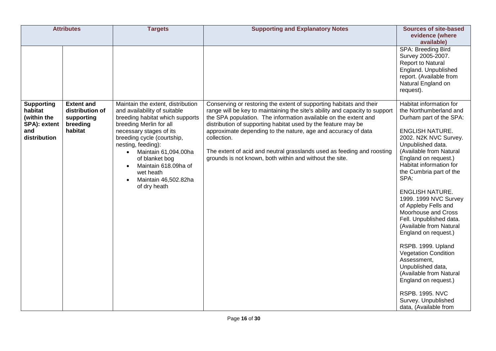| <b>Attributes</b>                                                                  |                                                                           | <b>Targets</b>                                                                                                                                                                                                                                                                                                                        | <b>Supporting and Explanatory Notes</b>                                                                                                                                                                                                                                                                                                                                                                                                                                                                     | <b>Sources of site-based</b><br>evidence (where<br>available)                                                                                                                                                                                                                                                                                                                                                                                                                                                                                                                                                                                                               |
|------------------------------------------------------------------------------------|---------------------------------------------------------------------------|---------------------------------------------------------------------------------------------------------------------------------------------------------------------------------------------------------------------------------------------------------------------------------------------------------------------------------------|-------------------------------------------------------------------------------------------------------------------------------------------------------------------------------------------------------------------------------------------------------------------------------------------------------------------------------------------------------------------------------------------------------------------------------------------------------------------------------------------------------------|-----------------------------------------------------------------------------------------------------------------------------------------------------------------------------------------------------------------------------------------------------------------------------------------------------------------------------------------------------------------------------------------------------------------------------------------------------------------------------------------------------------------------------------------------------------------------------------------------------------------------------------------------------------------------------|
|                                                                                    |                                                                           |                                                                                                                                                                                                                                                                                                                                       |                                                                                                                                                                                                                                                                                                                                                                                                                                                                                                             | SPA: Breeding Bird<br>Survey 2005-2007.<br>Report to Natural<br>England. Unpublished<br>report. (Available from<br>Natural England on<br>request).                                                                                                                                                                                                                                                                                                                                                                                                                                                                                                                          |
| <b>Supporting</b><br>habitat<br>(within the<br>SPA): extent<br>and<br>distribution | <b>Extent and</b><br>distribution of<br>supporting<br>breeding<br>habitat | Maintain the extent, distribution<br>and availability of suitable<br>breeding habitat which supports<br>breeding Merlin for all<br>necessary stages of its<br>breeding cycle (courtship,<br>nesting, feeding):<br>Maintain 61,094.00ha<br>of blanket bog<br>Maintain 618.09ha of<br>wet heath<br>Maintain 46,502.82ha<br>of dry heath | Conserving or restoring the extent of supporting habitats and their<br>range will be key to maintaining the site's ability and capacity to support<br>the SPA population. The information available on the extent and<br>distribution of supporting habitat used by the feature may be<br>approximate depending to the nature, age and accuracy of data<br>collection.<br>The extent of acid and neutral grasslands used as feeding and roosting<br>grounds is not known, both within and without the site. | Habitat information for<br>the Northumberland and<br>Durham part of the SPA:<br><b>ENGLISH NATURE.</b><br>2002. N2K NVC Survey.<br>Unpublished data.<br>(Available from Natural<br>England on request.)<br>Habitat information for<br>the Cumbria part of the<br>SPA:<br><b>ENGLISH NATURE.</b><br>1999. 1999 NVC Survey<br>of Appleby Fells and<br>Moorhouse and Cross<br>Fell. Unpublished data.<br>(Available from Natural<br>England on request.)<br>RSPB. 1999. Upland<br><b>Vegetation Condition</b><br>Assessment,<br>Unpublished data,<br>(Available from Natural<br>England on request.)<br><b>RSPB. 1995. NVC</b><br>Survey. Unpublished<br>data, (Available from |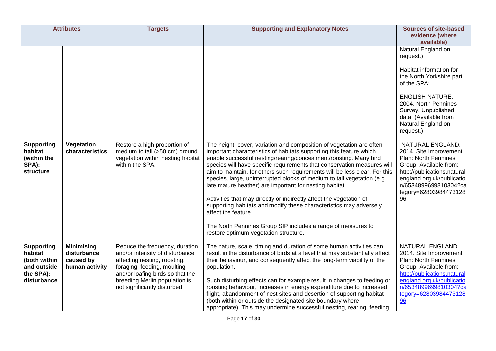| <b>Attributes</b>                                                                       |                                                                 | <b>Targets</b>                                                                                                                                                                                                                       | <b>Supporting and Explanatory Notes</b>                                                                                                                                                                                                                                                                                                                                                                                                                                                                                                                                                                                                                                             | <b>Sources of site-based</b><br>evidence (where<br>available)                                                                                                                                                                                                                                                                                                                                                                                                  |
|-----------------------------------------------------------------------------------------|-----------------------------------------------------------------|--------------------------------------------------------------------------------------------------------------------------------------------------------------------------------------------------------------------------------------|-------------------------------------------------------------------------------------------------------------------------------------------------------------------------------------------------------------------------------------------------------------------------------------------------------------------------------------------------------------------------------------------------------------------------------------------------------------------------------------------------------------------------------------------------------------------------------------------------------------------------------------------------------------------------------------|----------------------------------------------------------------------------------------------------------------------------------------------------------------------------------------------------------------------------------------------------------------------------------------------------------------------------------------------------------------------------------------------------------------------------------------------------------------|
| <b>Supporting</b><br>habitat<br>(within the<br>SPA):<br>structure                       | Vegetation<br>characteristics                                   | Restore a high proportion of<br>medium to tall (>50 cm) ground<br>vegetation within nesting habitat<br>within the SPA.                                                                                                               | The height, cover, variation and composition of vegetation are often<br>important characteristics of habitats supporting this feature which<br>enable successful nesting/rearing/concealment/roosting. Many bird<br>species will have specific requirements that conservation measures will<br>aim to maintain, for others such requirements will be less clear. For this<br>species, large, uninterrupted blocks of medium to tall vegetation (e.g.<br>late mature heather) are important for nesting habitat.<br>Activities that may directly or indirectly affect the vegetation of<br>supporting habitats and modify these characteristics may adversely<br>affect the feature. | Natural England on<br>request.)<br>Habitat information for<br>the North Yorkshire part<br>of the SPA:<br><b>ENGLISH NATURE.</b><br>2004. North Pennines<br>Survey. Unpublished<br>data. (Available from<br>Natural England on<br>request.)<br>NATURAL ENGLAND.<br>2014. Site Improvement<br>Plan: North Pennines<br>Group. Available from:<br>http://publications.natural<br>england.org.uk/publicatio<br>n/6534899699810304?ca<br>tegory=62803984473128<br>96 |
|                                                                                         |                                                                 |                                                                                                                                                                                                                                      | The North Pennines Group SIP includes a range of measures to<br>restore optimum vegetation structure.                                                                                                                                                                                                                                                                                                                                                                                                                                                                                                                                                                               |                                                                                                                                                                                                                                                                                                                                                                                                                                                                |
| <b>Supporting</b><br>habitat<br>(both within<br>and outside<br>the SPA):<br>disturbance | <b>Minimising</b><br>disturbance<br>caused by<br>human activity | Reduce the frequency, duration<br>and/or intensity of disturbance<br>affecting nesting, roosting,<br>foraging, feeding, moulting<br>and/or loafing birds so that the<br>breeding Merlin population is<br>not significantly disturbed | The nature, scale, timing and duration of some human activities can<br>result in the disturbance of birds at a level that may substantially affect<br>their behaviour, and consequently affect the long-term viability of the<br>population.<br>Such disturbing effects can for example result in changes to feeding or<br>roosting behaviour, increases in energy expenditure due to increased<br>flight, abandonment of nest sites and desertion of supporting habitat<br>(both within or outside the designated site boundary where<br>appropriate). This may undermine successful nesting, rearing, feeding                                                                     | NATURAL ENGLAND.<br>2014. Site Improvement<br>Plan: North Pennines<br>Group. Available from:<br>http://publications.natural<br>england.org.uk/publicatio<br>n/6534899699810304?ca<br>tegory=62803984473128<br>96                                                                                                                                                                                                                                               |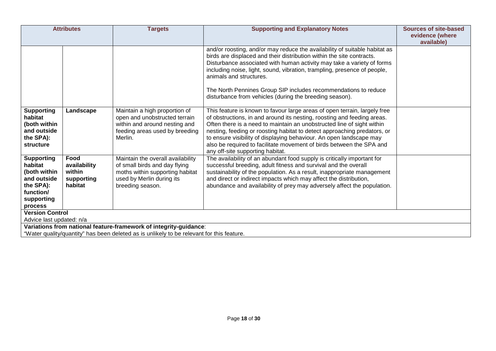|                                                                                                                | <b>Attributes</b>                                       | <b>Targets</b>                                                                                                                                         | <b>Supporting and Explanatory Notes</b>                                                                                                                                                                                                                                                                                                                                                                                                                                                       | <b>Sources of site-based</b><br>evidence (where |
|----------------------------------------------------------------------------------------------------------------|---------------------------------------------------------|--------------------------------------------------------------------------------------------------------------------------------------------------------|-----------------------------------------------------------------------------------------------------------------------------------------------------------------------------------------------------------------------------------------------------------------------------------------------------------------------------------------------------------------------------------------------------------------------------------------------------------------------------------------------|-------------------------------------------------|
|                                                                                                                |                                                         |                                                                                                                                                        | and/or roosting, and/or may reduce the availability of suitable habitat as<br>birds are displaced and their distribution within the site contracts.<br>Disturbance associated with human activity may take a variety of forms<br>including noise, light, sound, vibration, trampling, presence of people,<br>animals and structures.<br>The North Pennines Group SIP includes recommendations to reduce<br>disturbance from vehicles (during the breeding season).                            | available)                                      |
| <b>Supporting</b><br>habitat<br>(both within<br>and outside<br>the SPA):<br>structure                          | Landscape                                               | Maintain a high proportion of<br>open and unobstructed terrain<br>within and around nesting and<br>feeding areas used by breeding<br>Merlin.           | This feature is known to favour large areas of open terrain, largely free<br>of obstructions, in and around its nesting, roosting and feeding areas.<br>Often there is a need to maintain an unobstructed line of sight within<br>nesting, feeding or roosting habitat to detect approaching predators, or<br>to ensure visibility of displaying behaviour. An open landscape may<br>also be required to facilitate movement of birds between the SPA and<br>any off-site supporting habitat. |                                                 |
| <b>Supporting</b><br>habitat<br>(both within<br>and outside<br>the SPA):<br>function/<br>supporting<br>process | Food<br>availability<br>within<br>supporting<br>habitat | Maintain the overall availability<br>of small birds and day flying<br>moths within supporting habitat<br>used by Merlin during its<br>breeding season. | The availability of an abundant food supply is critically important for<br>successful breeding, adult fitness and survival and the overall<br>sustainability of the population. As a result, inappropriate management<br>and direct or indirect impacts which may affect the distribution,<br>abundance and availability of prey may adversely affect the population.                                                                                                                         |                                                 |
| <b>Version Control</b><br>Advice last updated: n/a                                                             |                                                         |                                                                                                                                                        |                                                                                                                                                                                                                                                                                                                                                                                                                                                                                               |                                                 |
|                                                                                                                |                                                         | Variations from national feature-framework of integrity-guidance:                                                                                      |                                                                                                                                                                                                                                                                                                                                                                                                                                                                                               |                                                 |
|                                                                                                                |                                                         | "Water quality/quantity" has been deleted as is unlikely to be relevant for this feature.                                                              |                                                                                                                                                                                                                                                                                                                                                                                                                                                                                               |                                                 |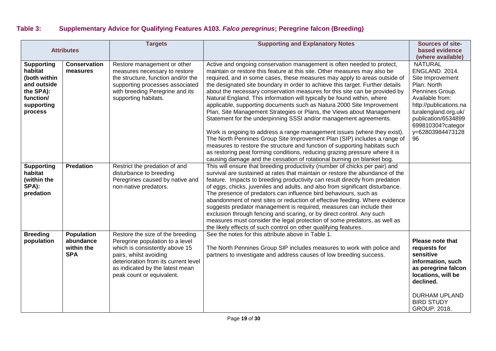## **Table 3: Supplementary Advice for Qualifying Features A103.** *Falco peregrinus***; Peregrine falcon (Breeding)**

| <b>Attributes</b>                                                                                              |                                                            | <b>Targets</b>                                                                                                                                                                                                                          | <b>Supporting and Explanatory Notes</b>                                                                                                                                                                                                                                                                                                                                                                                                                                                                                                                                                                                                                                                                                                                                                                                                                                                                                                                                                                                                                                                          | Sources of site-<br>based evidence<br>(where available)                                                                                                                                                                           |
|----------------------------------------------------------------------------------------------------------------|------------------------------------------------------------|-----------------------------------------------------------------------------------------------------------------------------------------------------------------------------------------------------------------------------------------|--------------------------------------------------------------------------------------------------------------------------------------------------------------------------------------------------------------------------------------------------------------------------------------------------------------------------------------------------------------------------------------------------------------------------------------------------------------------------------------------------------------------------------------------------------------------------------------------------------------------------------------------------------------------------------------------------------------------------------------------------------------------------------------------------------------------------------------------------------------------------------------------------------------------------------------------------------------------------------------------------------------------------------------------------------------------------------------------------|-----------------------------------------------------------------------------------------------------------------------------------------------------------------------------------------------------------------------------------|
| <b>Supporting</b><br>habitat<br>(both within<br>and outside<br>the SPA):<br>function/<br>supporting<br>process | <b>Conservation</b><br>measures                            | Restore management or other<br>measures necessary to restore<br>the structure, function and/or the<br>supporting processes associated<br>with breeding Peregrine and its<br>supporting habitats.                                        | Active and ongoing conservation management is often needed to protect,<br>maintain or restore this feature at this site. Other measures may also be<br>required, and in some cases, these measures may apply to areas outside of<br>the designated site boundary in order to achieve this target. Further details<br>about the necessary conservation measures for this site can be provided by<br>Natural England. This information will typically be found within, where<br>applicable, supporting documents such as Natura 2000 Site Improvement<br>Plan, Site Management Strategies or Plans, the Views about Management<br>Statement for the underpinning SSSI and/or management agreements.<br>Work is ongoing to address a range management issues (where they exist).<br>The North Pennines Group Site Improvement Plan (SIP) includes a range of<br>measures to restore the structure and function of supporting habitats such<br>as restoring peat forming conditions, reducing grazing pressure where it is<br>causing damage and the cessation of rotational burning on blanket bog. | <b>NATURAL</b><br>ENGLAND. 2014.<br>Site Improvement<br>Plan: North<br>Pennines Group.<br>Available from:<br>http://publications.na<br>turalengland.org.uk/<br>publication/6534899<br>699810304?categor<br>y=62803984473128<br>96 |
| <b>Supporting</b><br>habitat<br>(within the<br>SPA):<br>predation                                              | <b>Predation</b>                                           | Restrict the predation of and<br>disturbance to breeding<br>Peregrines caused by native and<br>non-native predators.                                                                                                                    | This will ensure that breeding productivity (number of chicks per pair) and<br>survival are sustained at rates that maintain or restore the abundance of the<br>feature. Impacts to breeding productivity can result directly from predation<br>of eggs, chicks, juveniles and adults, and also from significant disturbance.<br>The presence of predators can influence bird behaviours, such as<br>abandonment of nest sites or reduction of effective feeding. Where evidence<br>suggests predator management is required, measures can include their<br>exclusion through fencing and scaring, or by direct control. Any such<br>measures must consider the legal protection of some predators, as well as<br>the likely effects of such control on other qualifying features.                                                                                                                                                                                                                                                                                                               |                                                                                                                                                                                                                                   |
| <b>Breeding</b><br>population                                                                                  | <b>Population</b><br>abundance<br>within the<br><b>SPA</b> | Restore the size of the breeding<br>Peregrine population to a level<br>which is consistently above 15<br>pairs, whilst avoiding<br>deterioration from its current level<br>as indicated by the latest mean<br>peak count or equivalent. | See the notes for this attribute above in Table 1.<br>The North Pennines Group SIP includes measures to work with police and<br>partners to investigate and address causes of low breeding success.                                                                                                                                                                                                                                                                                                                                                                                                                                                                                                                                                                                                                                                                                                                                                                                                                                                                                              | Please note that<br>requests for<br>sensitive<br>information, such<br>as peregrine falcon<br>locations, will be<br>declined.<br><b>DURHAM UPLAND</b><br><b>BIRD STUDY</b><br><b>GROUP. 2018.</b>                                  |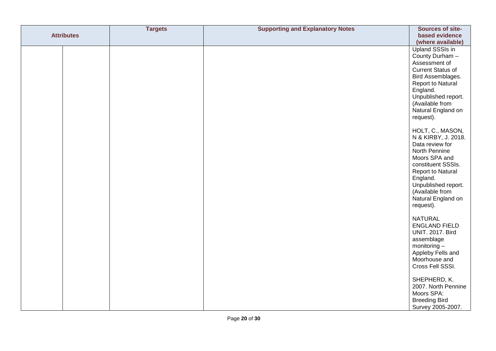|                   | <b>Targets</b> | <b>Supporting and Explanatory Notes</b> | Sources of site-                 |
|-------------------|----------------|-----------------------------------------|----------------------------------|
| <b>Attributes</b> |                |                                         | based evidence                   |
|                   |                |                                         | (where available)                |
|                   |                |                                         | <b>Upland SSSIs in</b>           |
|                   |                |                                         | County Durham -                  |
|                   |                |                                         | Assessment of                    |
|                   |                |                                         | <b>Current Status of</b>         |
|                   |                |                                         | Bird Assemblages.                |
|                   |                |                                         | Report to Natural                |
|                   |                |                                         | England.                         |
|                   |                |                                         | Unpublished report.              |
|                   |                |                                         | (Available from                  |
|                   |                |                                         | Natural England on               |
|                   |                |                                         | request).                        |
|                   |                |                                         | HOLT, C., MASON,                 |
|                   |                |                                         | N & KIRBY, J. 2018.              |
|                   |                |                                         | Data review for                  |
|                   |                |                                         | North Pennine                    |
|                   |                |                                         | Moors SPA and                    |
|                   |                |                                         | constituent SSSIs.               |
|                   |                |                                         | Report to Natural<br>England.    |
|                   |                |                                         | Unpublished report.              |
|                   |                |                                         | (Available from                  |
|                   |                |                                         | Natural England on               |
|                   |                |                                         | request).                        |
|                   |                |                                         |                                  |
|                   |                |                                         | <b>NATURAL</b>                   |
|                   |                |                                         | <b>ENGLAND FIELD</b>             |
|                   |                |                                         | <b>UNIT. 2017. Bird</b>          |
|                   |                |                                         | assemblage                       |
|                   |                |                                         | monitoring-<br>Appleby Fells and |
|                   |                |                                         | Moorhouse and                    |
|                   |                |                                         | Cross Fell SSSI.                 |
|                   |                |                                         |                                  |
|                   |                |                                         | SHEPHERD, K.                     |
|                   |                |                                         | 2007. North Pennine              |
|                   |                |                                         | Moors SPA:                       |
|                   |                |                                         | <b>Breeding Bird</b>             |
|                   |                |                                         | Survey 2005-2007.                |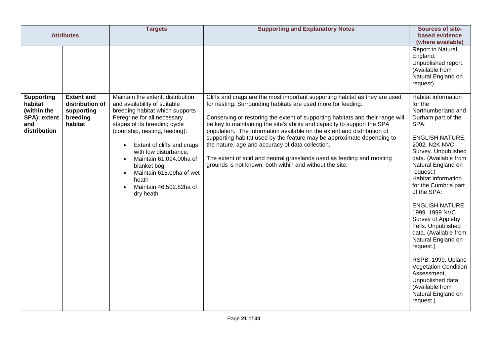| <b>Attributes</b>                                                                  |                                                                           | <b>Targets</b>                                                                                                                                                                                                                                                                                                                                                                                                             | <b>Supporting and Explanatory Notes</b>                                                                                                                                                                                                                                                                                                                                                                                                                                                                                                                                                                                                                 | Sources of site-<br>based evidence<br>(where available)                                                                                                                                                                                                                                                                                                                                                                                                                                                                                                                          |
|------------------------------------------------------------------------------------|---------------------------------------------------------------------------|----------------------------------------------------------------------------------------------------------------------------------------------------------------------------------------------------------------------------------------------------------------------------------------------------------------------------------------------------------------------------------------------------------------------------|---------------------------------------------------------------------------------------------------------------------------------------------------------------------------------------------------------------------------------------------------------------------------------------------------------------------------------------------------------------------------------------------------------------------------------------------------------------------------------------------------------------------------------------------------------------------------------------------------------------------------------------------------------|----------------------------------------------------------------------------------------------------------------------------------------------------------------------------------------------------------------------------------------------------------------------------------------------------------------------------------------------------------------------------------------------------------------------------------------------------------------------------------------------------------------------------------------------------------------------------------|
|                                                                                    |                                                                           |                                                                                                                                                                                                                                                                                                                                                                                                                            |                                                                                                                                                                                                                                                                                                                                                                                                                                                                                                                                                                                                                                                         | <b>Report to Natural</b><br>England.<br>Unpublished report.<br>(Available from<br>Natural England on<br>request).                                                                                                                                                                                                                                                                                                                                                                                                                                                                |
| <b>Supporting</b><br>habitat<br>(within the<br>SPA): extent<br>and<br>distribution | <b>Extent and</b><br>distribution of<br>supporting<br>breeding<br>habitat | Maintain the extent, distribution<br>and availability of suitable<br>breeding habitat which supports<br>Peregrine for all necessary<br>stages of its breeding cycle<br>(courtship, nesting, feeding):<br>Extent of cliffs and crags<br>with low disturbance,<br>Maintain 61,094.00ha of<br>$\bullet$<br>blanket bog<br>Maintain 618.09ha of wet<br>$\bullet$<br>heath<br>Maintain 46,502.82ha of<br>$\bullet$<br>dry heath | Cliffs and crags are the most important supporting habitat as they are used<br>for nesting. Surrounding habitats are used more for feeding.<br>Conserving or restoring the extent of supporting habitats and their range will<br>be key to maintaining the site's ability and capacity to support the SPA<br>population. The information available on the extent and distribution of<br>supporting habitat used by the feature may be approximate depending to<br>the nature, age and accuracy of data collection.<br>The extent of acid and neutral grasslands used as feeding and roosting<br>grounds is not known, both within and without the site. | Habitat information<br>for the<br>Northumberland and<br>Durham part of the<br>SPA:<br><b>ENGLISH NATURE.</b><br>2002. N2K NVC<br>Survey. Unpublished<br>data. (Available from<br>Natural England on<br>request.)<br>Habitat information<br>for the Cumbria part<br>of the SPA:<br><b>ENGLISH NATURE.</b><br>1999. 1999 NVC<br>Survey of Appleby<br>Fells. Unpublished<br>data. (Available from<br>Natural England on<br>request.)<br>RSPB. 1999. Upland<br><b>Vegetation Condition</b><br>Assessment,<br>Unpublished data,<br>(Available from<br>Natural England on<br>request.) |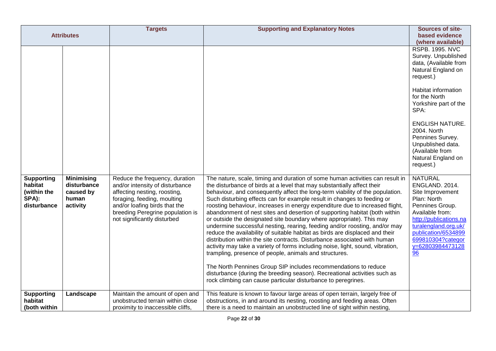|                                                                     | <b>Attributes</b>                                                  | <b>Targets</b>                                                                                                                                                                                                                       | <b>Supporting and Explanatory Notes</b>                                                                                                                                                                                                                                                                                                                                                                                                                                                                                                                                                                                                                                                                                                                                                                                                                                                                                                                                                                                                                                                                                                                            | Sources of site-<br>based evidence<br>(where available)                                                                                                                                                                                                                                                                    |
|---------------------------------------------------------------------|--------------------------------------------------------------------|--------------------------------------------------------------------------------------------------------------------------------------------------------------------------------------------------------------------------------------|--------------------------------------------------------------------------------------------------------------------------------------------------------------------------------------------------------------------------------------------------------------------------------------------------------------------------------------------------------------------------------------------------------------------------------------------------------------------------------------------------------------------------------------------------------------------------------------------------------------------------------------------------------------------------------------------------------------------------------------------------------------------------------------------------------------------------------------------------------------------------------------------------------------------------------------------------------------------------------------------------------------------------------------------------------------------------------------------------------------------------------------------------------------------|----------------------------------------------------------------------------------------------------------------------------------------------------------------------------------------------------------------------------------------------------------------------------------------------------------------------------|
|                                                                     |                                                                    |                                                                                                                                                                                                                                      |                                                                                                                                                                                                                                                                                                                                                                                                                                                                                                                                                                                                                                                                                                                                                                                                                                                                                                                                                                                                                                                                                                                                                                    | <b>RSPB. 1995. NVC</b><br>Survey. Unpublished<br>data, (Available from<br>Natural England on<br>request.)<br>Habitat information<br>for the North<br>Yorkshire part of the<br>SPA:<br><b>ENGLISH NATURE.</b><br>2004. North<br>Pennines Survey.<br>Unpublished data.<br>(Available from<br>Natural England on<br>request.) |
| <b>Supporting</b><br>habitat<br>(within the<br>SPA):<br>disturbance | <b>Minimising</b><br>disturbance<br>caused by<br>human<br>activity | Reduce the frequency, duration<br>and/or intensity of disturbance<br>affecting nesting, roosting,<br>foraging, feeding, moulting<br>and/or loafing birds that the<br>breeding Peregrine population is<br>not significantly disturbed | The nature, scale, timing and duration of some human activities can result in<br>the disturbance of birds at a level that may substantially affect their<br>behaviour, and consequently affect the long-term viability of the population.<br>Such disturbing effects can for example result in changes to feeding or<br>roosting behaviour, increases in energy expenditure due to increased flight,<br>abandonment of nest sites and desertion of supporting habitat (both within<br>or outside the designated site boundary where appropriate). This may<br>undermine successful nesting, rearing, feeding and/or roosting, and/or may<br>reduce the availability of suitable habitat as birds are displaced and their<br>distribution within the site contracts. Disturbance associated with human<br>activity may take a variety of forms including noise, light, sound, vibration,<br>trampling, presence of people, animals and structures.<br>The North Pennines Group SIP includes recommendations to reduce<br>disturbance (during the breeding season). Recreational activities such as<br>rock climbing can cause particular disturbance to peregrines. | <b>NATURAL</b><br>ENGLAND. 2014.<br>Site Improvement<br>Plan: North<br>Pennines Group.<br>Available from:<br>http://publications.na<br>turalengland.org.uk/<br>publication/6534899<br>699810304?categor<br>y=62803984473128<br>96                                                                                          |
| <b>Supporting</b><br>habitat<br>(both within                        | Landscape                                                          | Maintain the amount of open and<br>unobstructed terrain within close<br>proximity to inaccessible cliffs,                                                                                                                            | This feature is known to favour large areas of open terrain, largely free of<br>obstructions, in and around its nesting, roosting and feeding areas. Often<br>there is a need to maintain an unobstructed line of sight within nesting,                                                                                                                                                                                                                                                                                                                                                                                                                                                                                                                                                                                                                                                                                                                                                                                                                                                                                                                            |                                                                                                                                                                                                                                                                                                                            |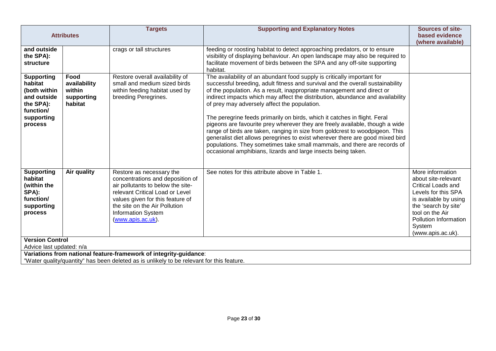| <b>Attributes</b>                                                                                                    |                                                         | <b>Targets</b>                                                                                                                                                                                                                                       | <b>Supporting and Explanatory Notes</b>                                                                                                                                                                                                                                                                                                                                                                                                                                                                                                                                                                                                                                                                                                                                                                                                          | <b>Sources of site-</b><br>based evidence<br>(where available)                                                                                                                                                          |
|----------------------------------------------------------------------------------------------------------------------|---------------------------------------------------------|------------------------------------------------------------------------------------------------------------------------------------------------------------------------------------------------------------------------------------------------------|--------------------------------------------------------------------------------------------------------------------------------------------------------------------------------------------------------------------------------------------------------------------------------------------------------------------------------------------------------------------------------------------------------------------------------------------------------------------------------------------------------------------------------------------------------------------------------------------------------------------------------------------------------------------------------------------------------------------------------------------------------------------------------------------------------------------------------------------------|-------------------------------------------------------------------------------------------------------------------------------------------------------------------------------------------------------------------------|
| and outside<br>the SPA):<br>structure                                                                                |                                                         | crags or tall structures                                                                                                                                                                                                                             | feeding or roosting habitat to detect approaching predators, or to ensure<br>visibility of displaying behaviour. An open landscape may also be required to<br>facilitate movement of birds between the SPA and any off-site supporting<br>habitat.                                                                                                                                                                                                                                                                                                                                                                                                                                                                                                                                                                                               |                                                                                                                                                                                                                         |
| <b>Supporting</b><br>habitat<br>(both within<br>and outside<br>the SPA):<br>function/<br>supporting<br>process       | Food<br>availability<br>within<br>supporting<br>habitat | Restore overall availability of<br>small and medium sized birds<br>within feeding habitat used by<br>breeding Peregrines.                                                                                                                            | The availability of an abundant food supply is critically important for<br>successful breeding, adult fitness and survival and the overall sustainability<br>of the population. As a result, inappropriate management and direct or<br>indirect impacts which may affect the distribution, abundance and availability<br>of prey may adversely affect the population.<br>The peregrine feeds primarily on birds, which it catches in flight. Feral<br>pigeons are favourite prey wherever they are freely available, though a wide<br>range of birds are taken, ranging in size from goldcrest to woodpigeon. This<br>generalist diet allows peregrines to exist wherever there are good mixed bird<br>populations. They sometimes take small mammals, and there are records of<br>occasional amphibians, lizards and large insects being taken. |                                                                                                                                                                                                                         |
| <b>Supporting</b><br>habitat<br>(within the<br>SPA):<br>function/<br>supporting<br>process<br><b>Version Control</b> | Air quality                                             | Restore as necessary the<br>concentrations and deposition of<br>air pollutants to below the site-<br>relevant Critical Load or Level<br>values given for this feature of<br>the site on the Air Pollution<br>Information System<br>(www.apis.ac.uk). | See notes for this attribute above in Table 1.                                                                                                                                                                                                                                                                                                                                                                                                                                                                                                                                                                                                                                                                                                                                                                                                   | More information<br>about site-relevant<br><b>Critical Loads and</b><br>Levels for this SPA<br>is available by using<br>the 'search by site'<br>tool on the Air<br>Pollution Information<br>System<br>(www.apis.ac.uk). |
| Advice last updated: n/a                                                                                             |                                                         |                                                                                                                                                                                                                                                      |                                                                                                                                                                                                                                                                                                                                                                                                                                                                                                                                                                                                                                                                                                                                                                                                                                                  |                                                                                                                                                                                                                         |
|                                                                                                                      |                                                         | Variations from national feature-framework of integrity-guidance:<br>"Water quality/quantity" has been deleted as is unlikely to be relevant for this feature.                                                                                       |                                                                                                                                                                                                                                                                                                                                                                                                                                                                                                                                                                                                                                                                                                                                                                                                                                                  |                                                                                                                                                                                                                         |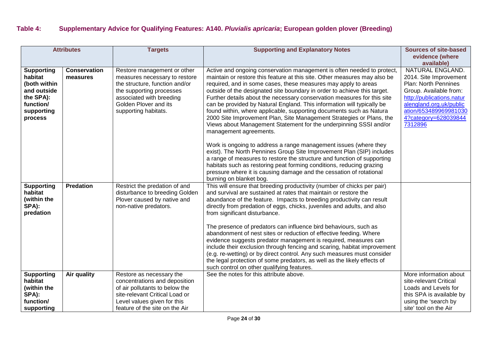### **Table 4: Supplementary Advice for Qualifying Features: A140.** *Pluvialis apricaria***; European golden plover (Breeding)**

| <b>Attributes</b>                                                                                              |                                 | <b>Targets</b>                                                                                                                                                                                          | <b>Supporting and Explanatory Notes</b>                                                                                                                                                                                                                                                                                                                                                                                                                                                                                                                                                                                                                                                                                                                                                                                        | <b>Sources of site-based</b>                                                                                                                                                                                     |
|----------------------------------------------------------------------------------------------------------------|---------------------------------|---------------------------------------------------------------------------------------------------------------------------------------------------------------------------------------------------------|--------------------------------------------------------------------------------------------------------------------------------------------------------------------------------------------------------------------------------------------------------------------------------------------------------------------------------------------------------------------------------------------------------------------------------------------------------------------------------------------------------------------------------------------------------------------------------------------------------------------------------------------------------------------------------------------------------------------------------------------------------------------------------------------------------------------------------|------------------------------------------------------------------------------------------------------------------------------------------------------------------------------------------------------------------|
|                                                                                                                |                                 |                                                                                                                                                                                                         |                                                                                                                                                                                                                                                                                                                                                                                                                                                                                                                                                                                                                                                                                                                                                                                                                                | evidence (where                                                                                                                                                                                                  |
|                                                                                                                |                                 |                                                                                                                                                                                                         |                                                                                                                                                                                                                                                                                                                                                                                                                                                                                                                                                                                                                                                                                                                                                                                                                                | available)                                                                                                                                                                                                       |
| <b>Supporting</b><br>habitat<br>(both within<br>and outside<br>the SPA):<br>function/<br>supporting<br>process | <b>Conservation</b><br>measures | Restore management or other<br>measures necessary to restore<br>the structure, function and/or<br>the supporting processes<br>associated with breeding<br>Golden Plover and its<br>supporting habitats. | Active and ongoing conservation management is often needed to protect,<br>maintain or restore this feature at this site. Other measures may also be<br>required, and in some cases, these measures may apply to areas<br>outside of the designated site boundary in order to achieve this target.<br>Further details about the necessary conservation measures for this site<br>can be provided by Natural England. This information will typically be<br>found within, where applicable, supporting documents such as Natura<br>2000 Site Improvement Plan, Site Management Strategies or Plans, the<br>Views about Management Statement for the underpinning SSSI and/or<br>management agreements.                                                                                                                           | NATURAL ENGLAND.<br>2014. Site Improvement<br>Plan: North Pennines<br>Group. Available from:<br>http://publications.natur<br>alengland.org.uk/public<br>ation/653489969981030<br>4?category=628039844<br>7312896 |
|                                                                                                                |                                 |                                                                                                                                                                                                         | Work is ongoing to address a range management issues (where they<br>exist). The North Pennines Group Site Improvement Plan (SIP) includes<br>a range of measures to restore the structure and function of supporting<br>habitats such as restoring peat forming conditions, reducing grazing<br>pressure where it is causing damage and the cessation of rotational<br>burning on blanket bog.                                                                                                                                                                                                                                                                                                                                                                                                                                 |                                                                                                                                                                                                                  |
| <b>Supporting</b><br>habitat<br>(within the<br>SPA):<br>predation                                              | <b>Predation</b>                | Restrict the predation of and<br>disturbance to breeding Golden<br>Plover caused by native and<br>non-native predators.                                                                                 | This will ensure that breeding productivity (number of chicks per pair)<br>and survival are sustained at rates that maintain or restore the<br>abundance of the feature. Impacts to breeding productivity can result<br>directly from predation of eggs, chicks, juveniles and adults, and also<br>from significant disturbance.<br>The presence of predators can influence bird behaviours, such as<br>abandonment of nest sites or reduction of effective feeding. Where<br>evidence suggests predator management is required, measures can<br>include their exclusion through fencing and scaring, habitat improvement<br>(e.g. re-wetting) or by direct control. Any such measures must consider<br>the legal protection of some predators, as well as the likely effects of<br>such control on other qualifying features. |                                                                                                                                                                                                                  |
| <b>Supporting</b><br>habitat<br>(within the<br>SPA):<br>function/<br>supporting                                | Air quality                     | Restore as necessary the<br>concentrations and deposition<br>of air pollutants to below the<br>site-relevant Critical Load or<br>Level values given for this<br>feature of the site on the Air          | See the notes for this attribute above.                                                                                                                                                                                                                                                                                                                                                                                                                                                                                                                                                                                                                                                                                                                                                                                        | More information about<br>site-relevant Critical<br>Loads and Levels for<br>this SPA is available by<br>using the 'search by<br>site' tool on the Air                                                            |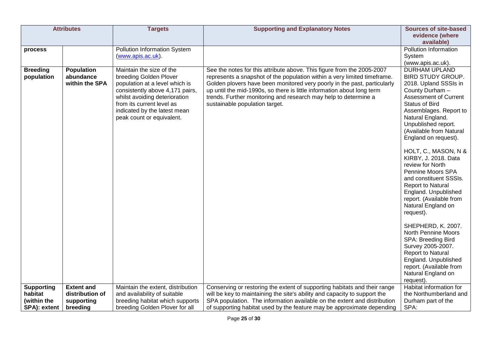| <b>Attributes</b>             |                                                  | <b>Targets</b>                                                                                                                                                                                                                                     | <b>Supporting and Explanatory Notes</b>                                                                                                                                                                                                                                                                                                                                                                       | <b>Sources of site-based</b>                                                                                                                                                                                                                                                                                                                                                                                                                                                                                                                             |
|-------------------------------|--------------------------------------------------|----------------------------------------------------------------------------------------------------------------------------------------------------------------------------------------------------------------------------------------------------|---------------------------------------------------------------------------------------------------------------------------------------------------------------------------------------------------------------------------------------------------------------------------------------------------------------------------------------------------------------------------------------------------------------|----------------------------------------------------------------------------------------------------------------------------------------------------------------------------------------------------------------------------------------------------------------------------------------------------------------------------------------------------------------------------------------------------------------------------------------------------------------------------------------------------------------------------------------------------------|
|                               |                                                  |                                                                                                                                                                                                                                                    |                                                                                                                                                                                                                                                                                                                                                                                                               | evidence (where                                                                                                                                                                                                                                                                                                                                                                                                                                                                                                                                          |
|                               |                                                  |                                                                                                                                                                                                                                                    |                                                                                                                                                                                                                                                                                                                                                                                                               | available)                                                                                                                                                                                                                                                                                                                                                                                                                                                                                                                                               |
| process                       |                                                  | Pollution Information System                                                                                                                                                                                                                       |                                                                                                                                                                                                                                                                                                                                                                                                               | Pollution Information                                                                                                                                                                                                                                                                                                                                                                                                                                                                                                                                    |
|                               |                                                  | (www.apis.ac.uk).                                                                                                                                                                                                                                  |                                                                                                                                                                                                                                                                                                                                                                                                               | System                                                                                                                                                                                                                                                                                                                                                                                                                                                                                                                                                   |
|                               |                                                  |                                                                                                                                                                                                                                                    |                                                                                                                                                                                                                                                                                                                                                                                                               | (www.apis.ac.uk).                                                                                                                                                                                                                                                                                                                                                                                                                                                                                                                                        |
| <b>Breeding</b><br>population | <b>Population</b><br>abundance<br>within the SPA | Maintain the size of the<br>breeding Golden Plover<br>population at a level which is<br>consistently above 4,171 pairs,<br>whilst avoiding deterioration<br>from its current level as<br>indicated by the latest mean<br>peak count or equivalent. | See the notes for this attribute above. This figure from the 2005-2007<br>represents a snapshot of the population within a very limited timeframe.<br>Golden plovers have been monitored very poorly in the past, particularly<br>up until the mid-1990s, so there is little information about long term<br>trends. Further monitoring and research may help to determine a<br>sustainable population target. | <b>DURHAM UPLAND</b><br><b>BIRD STUDY GROUP.</b><br>2018. Upland SSSIs in<br>County Durham -<br><b>Assessment of Current</b><br><b>Status of Bird</b><br>Assemblages. Report to<br>Natural England.<br>Unpublished report.<br>(Available from Natural<br>England on request).<br>HOLT, C., MASON, N &<br>KIRBY, J. 2018. Data<br>review for North<br>Pennine Moors SPA<br>and constituent SSSIs.<br>Report to Natural<br>England. Unpublished<br>report. (Available from<br>Natural England on<br>request).<br>SHEPHERD, K. 2007.<br>North Pennine Moors |
|                               |                                                  |                                                                                                                                                                                                                                                    |                                                                                                                                                                                                                                                                                                                                                                                                               | SPA: Breeding Bird<br>Survey 2005-2007.<br>Report to Natural<br>England. Unpublished<br>report. (Available from                                                                                                                                                                                                                                                                                                                                                                                                                                          |
|                               |                                                  |                                                                                                                                                                                                                                                    |                                                                                                                                                                                                                                                                                                                                                                                                               | Natural England on                                                                                                                                                                                                                                                                                                                                                                                                                                                                                                                                       |
|                               | <b>Extent and</b>                                |                                                                                                                                                                                                                                                    |                                                                                                                                                                                                                                                                                                                                                                                                               | request).<br>Habitat information for                                                                                                                                                                                                                                                                                                                                                                                                                                                                                                                     |
| <b>Supporting</b><br>habitat  | distribution of                                  | Maintain the extent, distribution<br>and availability of suitable                                                                                                                                                                                  | Conserving or restoring the extent of supporting habitats and their range<br>will be key to maintaining the site's ability and capacity to support the                                                                                                                                                                                                                                                        | the Northumberland and                                                                                                                                                                                                                                                                                                                                                                                                                                                                                                                                   |
| (within the                   |                                                  |                                                                                                                                                                                                                                                    |                                                                                                                                                                                                                                                                                                                                                                                                               |                                                                                                                                                                                                                                                                                                                                                                                                                                                                                                                                                          |
|                               | supporting                                       | breeding habitat which supports                                                                                                                                                                                                                    | SPA population. The information available on the extent and distribution                                                                                                                                                                                                                                                                                                                                      | Durham part of the                                                                                                                                                                                                                                                                                                                                                                                                                                                                                                                                       |
| SPA): extent                  | breeding                                         | breeding Golden Plover for all                                                                                                                                                                                                                     | of supporting habitat used by the feature may be approximate depending                                                                                                                                                                                                                                                                                                                                        | SPA:                                                                                                                                                                                                                                                                                                                                                                                                                                                                                                                                                     |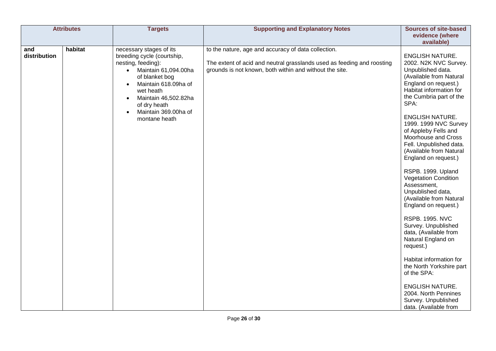| <b>Attributes</b>              | <b>Targets</b>                                                                                                                                                                                                                                                        | <b>Supporting and Explanatory Notes</b>                                                                                                                                                  | <b>Sources of site-based</b><br>evidence (where                                                                                                                                                                                                                                                                                                                                                                                                                                                                                                                                                                                                                                                                                                                                                                      |
|--------------------------------|-----------------------------------------------------------------------------------------------------------------------------------------------------------------------------------------------------------------------------------------------------------------------|------------------------------------------------------------------------------------------------------------------------------------------------------------------------------------------|----------------------------------------------------------------------------------------------------------------------------------------------------------------------------------------------------------------------------------------------------------------------------------------------------------------------------------------------------------------------------------------------------------------------------------------------------------------------------------------------------------------------------------------------------------------------------------------------------------------------------------------------------------------------------------------------------------------------------------------------------------------------------------------------------------------------|
| habitat<br>and<br>distribution | necessary stages of its<br>breeding cycle (courtship,<br>nesting, feeding):<br>Maintain 61,094.00ha<br>$\bullet$<br>of blanket bog<br>Maintain 618.09ha of<br>wet heath<br>Maintain 46,502.82ha<br>$\bullet$<br>of dry heath<br>Maintain 369.00ha of<br>montane heath | to the nature, age and accuracy of data collection.<br>The extent of acid and neutral grasslands used as feeding and roosting<br>grounds is not known, both within and without the site. | available)<br><b>ENGLISH NATURE.</b><br>2002. N2K NVC Survey.<br>Unpublished data.<br>(Available from Natural<br>England on request.)<br>Habitat information for<br>the Cumbria part of the<br>SPA:<br><b>ENGLISH NATURE.</b><br>1999. 1999 NVC Survey<br>of Appleby Fells and<br>Moorhouse and Cross<br>Fell. Unpublished data.<br>(Available from Natural<br>England on request.)<br>RSPB. 1999. Upland<br><b>Vegetation Condition</b><br>Assessment,<br>Unpublished data,<br>(Available from Natural<br>England on request.)<br><b>RSPB. 1995. NVC</b><br>Survey. Unpublished<br>data, (Available from<br>Natural England on<br>request.)<br>Habitat information for<br>the North Yorkshire part<br>of the SPA:<br><b>ENGLISH NATURE.</b><br>2004. North Pennines<br>Survey. Unpublished<br>data. (Available from |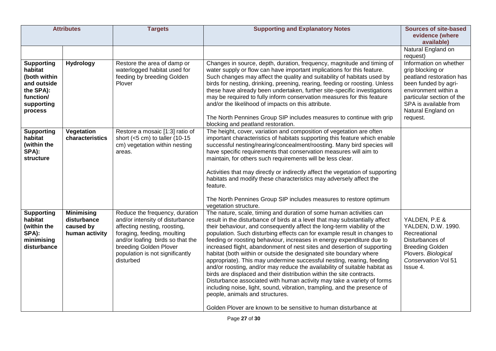| <b>Attributes</b>                                                                                              |                                                                 | <b>Targets</b>                                                                                                                                                                                                                                 | <b>Supporting and Explanatory Notes</b>                                                                                                                                                                                                                                                                                                                                                                                                                                                                                                                                                                                                                                                                                                                                                                                                                                                                                                                                                                                         | <b>Sources of site-based</b><br>evidence (where                                                                                                                                                                |
|----------------------------------------------------------------------------------------------------------------|-----------------------------------------------------------------|------------------------------------------------------------------------------------------------------------------------------------------------------------------------------------------------------------------------------------------------|---------------------------------------------------------------------------------------------------------------------------------------------------------------------------------------------------------------------------------------------------------------------------------------------------------------------------------------------------------------------------------------------------------------------------------------------------------------------------------------------------------------------------------------------------------------------------------------------------------------------------------------------------------------------------------------------------------------------------------------------------------------------------------------------------------------------------------------------------------------------------------------------------------------------------------------------------------------------------------------------------------------------------------|----------------------------------------------------------------------------------------------------------------------------------------------------------------------------------------------------------------|
|                                                                                                                |                                                                 |                                                                                                                                                                                                                                                |                                                                                                                                                                                                                                                                                                                                                                                                                                                                                                                                                                                                                                                                                                                                                                                                                                                                                                                                                                                                                                 | available)<br>Natural England on<br>request)                                                                                                                                                                   |
| <b>Supporting</b><br>habitat<br>(both within<br>and outside<br>the SPA):<br>function/<br>supporting<br>process | <b>Hydrology</b>                                                | Restore the area of damp or<br>waterlogged habitat used for<br>feeding by breeding Golden<br>Plover                                                                                                                                            | Changes in source, depth, duration, frequency, magnitude and timing of<br>water supply or flow can have important implications for this feature.<br>Such changes may affect the quality and suitability of habitats used by<br>birds for nesting, drinking, preening, rearing, feeding or roosting. Unless<br>these have already been undertaken, further site-specific investigations<br>may be required to fully inform conservation measures for this feature<br>and/or the likelihood of impacts on this attribute.<br>The North Pennines Group SIP includes measures to continue with grip<br>blocking and peatland restoration.                                                                                                                                                                                                                                                                                                                                                                                           | Information on whether<br>grip blocking or<br>peatland restoration has<br>been funded by agri-<br>environment within a<br>particular section of the<br>SPA is available from<br>Natural England on<br>request. |
| <b>Supporting</b><br>habitat<br>(within the<br>SPA):<br>structure                                              | Vegetation<br>characteristics                                   | Restore a mosaic [1:3] ratio of<br>short $(<5$ cm) to taller (10-15<br>cm) vegetation within nesting<br>areas.                                                                                                                                 | The height, cover, variation and composition of vegetation are often<br>important characteristics of habitats supporting this feature which enable<br>successful nesting/rearing/concealment/roosting. Many bird species will<br>have specific requirements that conservation measures will aim to<br>maintain, for others such requirements will be less clear.<br>Activities that may directly or indirectly affect the vegetation of supporting<br>habitats and modify these characteristics may adversely affect the<br>feature.<br>The North Pennines Group SIP includes measures to restore optimum<br>vegetation structure.                                                                                                                                                                                                                                                                                                                                                                                              |                                                                                                                                                                                                                |
| <b>Supporting</b><br>habitat<br>(within the<br>SPA):<br>minimising<br>disturbance                              | <b>Minimising</b><br>disturbance<br>caused by<br>human activity | Reduce the frequency, duration<br>and/or intensity of disturbance<br>affecting nesting, roosting,<br>foraging, feeding, moulting<br>and/or loafing birds so that the<br>breeding Golden Plover<br>population is not significantly<br>disturbed | The nature, scale, timing and duration of some human activities can<br>result in the disturbance of birds at a level that may substantially affect<br>their behaviour, and consequently affect the long-term viability of the<br>population. Such disturbing effects can for example result in changes to<br>feeding or roosting behaviour, increases in energy expenditure due to<br>increased flight, abandonment of nest sites and desertion of supporting<br>habitat (both within or outside the designated site boundary where<br>appropriate). This may undermine successful nesting, rearing, feeding<br>and/or roosting, and/or may reduce the availability of suitable habitat as<br>birds are displaced and their distribution within the site contracts.<br>Disturbance associated with human activity may take a variety of forms<br>including noise, light, sound, vibration, trampling, and the presence of<br>people, animals and structures.<br>Golden Plover are known to be sensitive to human disturbance at | YALDEN, P.E &<br>YALDEN, D.W. 1990.<br>Recreational<br>Disturbances of<br><b>Breeding Golden</b><br>Plovers. Biological<br>Conservation Vol 51<br>Issue 4.                                                     |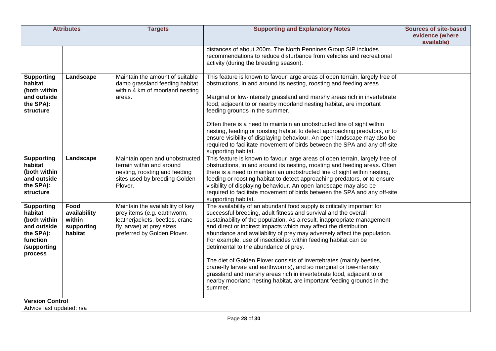|                                                                                                                | <b>Attributes</b>                                       | <b>Targets</b>                                                                                                                                                 | <b>Supporting and Explanatory Notes</b>                                                                                                                                                                                                                                                                                                                                                                                                                                                                                                                                                                                                                                                                                                                                                    | <b>Sources of site-based</b><br>evidence (where<br>available) |
|----------------------------------------------------------------------------------------------------------------|---------------------------------------------------------|----------------------------------------------------------------------------------------------------------------------------------------------------------------|--------------------------------------------------------------------------------------------------------------------------------------------------------------------------------------------------------------------------------------------------------------------------------------------------------------------------------------------------------------------------------------------------------------------------------------------------------------------------------------------------------------------------------------------------------------------------------------------------------------------------------------------------------------------------------------------------------------------------------------------------------------------------------------------|---------------------------------------------------------------|
|                                                                                                                |                                                         |                                                                                                                                                                | distances of about 200m. The North Pennines Group SIP includes<br>recommendations to reduce disturbance from vehicles and recreational<br>activity (during the breeding season).                                                                                                                                                                                                                                                                                                                                                                                                                                                                                                                                                                                                           |                                                               |
| <b>Supporting</b><br>habitat<br>(both within<br>and outside<br>the SPA):<br>structure                          | Landscape                                               | Maintain the amount of suitable<br>damp grassland feeding habitat<br>within 4 km of moorland nesting<br>areas.                                                 | This feature is known to favour large areas of open terrain, largely free of<br>obstructions, in and around its nesting, roosting and feeding areas.<br>Marginal or low-intensity grassland and marshy areas rich in invertebrate<br>food, adjacent to or nearby moorland nesting habitat, are important<br>feeding grounds in the summer.<br>Often there is a need to maintain an unobstructed line of sight within<br>nesting, feeding or roosting habitat to detect approaching predators, or to<br>ensure visibility of displaying behaviour. An open landscape may also be<br>required to facilitate movement of birds between the SPA and any off-site<br>supporting habitat.                                                                                                        |                                                               |
| <b>Supporting</b><br>habitat<br>(both within<br>and outside<br>the SPA):<br>structure                          | Landscape                                               | Maintain open and unobstructed<br>terrain within and around<br>nesting, roosting and feeding<br>sites used by breeding Golden<br>Plover.                       | This feature is known to favour large areas of open terrain, largely free of<br>obstructions, in and around its nesting, roosting and feeding areas. Often<br>there is a need to maintain an unobstructed line of sight within nesting,<br>feeding or roosting habitat to detect approaching predators, or to ensure<br>visibility of displaying behaviour. An open landscape may also be<br>required to facilitate movement of birds between the SPA and any off-site<br>supporting habitat.                                                                                                                                                                                                                                                                                              |                                                               |
| <b>Supporting</b><br>habitat<br>(both within<br>and outside<br>the SPA):<br>function<br>/supporting<br>process | Food<br>availability<br>within<br>supporting<br>habitat | Maintain the availability of key<br>prey items (e.g. earthworm,<br>leatherjackets, beetles, crane-<br>fly larvae) at prey sizes<br>preferred by Golden Plover. | The availability of an abundant food supply is critically important for<br>successful breeding, adult fitness and survival and the overall<br>sustainability of the population. As a result, inappropriate management<br>and direct or indirect impacts which may affect the distribution,<br>abundance and availability of prey may adversely affect the population.<br>For example, use of insecticides within feeding habitat can be<br>detrimental to the abundance of prey.<br>The diet of Golden Plover consists of invertebrates (mainly beetles,<br>crane-fly larvae and earthworms), and so marginal or low-intensity<br>grassland and marshy areas rich in invertebrate food, adjacent to or<br>nearby moorland nesting habitat, are important feeding grounds in the<br>summer. |                                                               |
| <b>Version Control</b><br>Advice last updated: n/a                                                             |                                                         |                                                                                                                                                                |                                                                                                                                                                                                                                                                                                                                                                                                                                                                                                                                                                                                                                                                                                                                                                                            |                                                               |